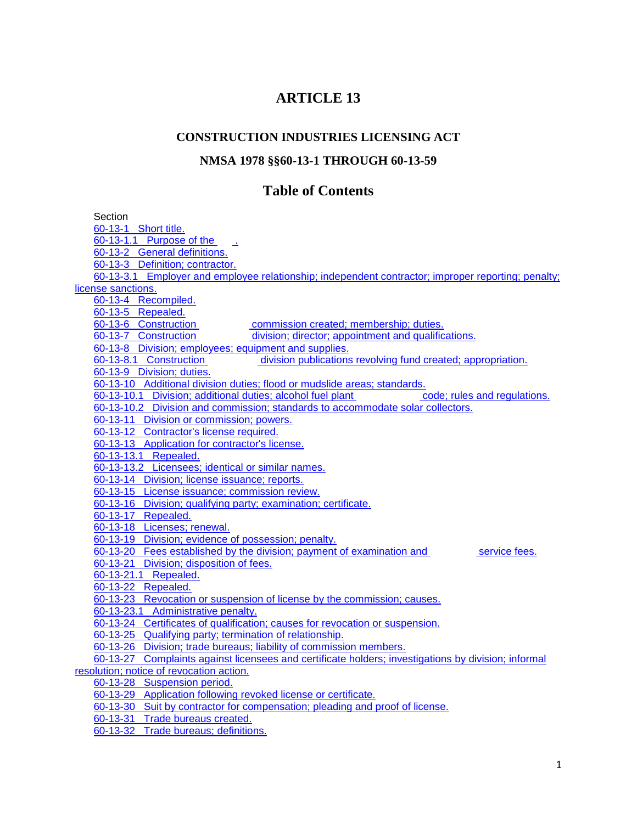# **ARTICLE 13**

# **CONSTRUCTION INDUSTRIES LICENSING ACT**

### **NMSA 1978 §§60-13-1 THROUGH 60-13-59**

# **Table of Contents**

**Section** [60-13-1 Short title.](http://www.nmonesource.com/nmpublic/gateway.dll?f=jumplink$jumplink_x=Advanced$jumplink_vpc=first$jumplink_xsl=querylink.xsl$jumplink_sel=title;path;content-type;home-title;item-bookmark$jumplink_d=%7bnmsu%7d$jumplink_q=%5bfield%20folio-destination-name:) 60-13-1.1 Purpose of the [60-13-2 General definitions.](http://www.nmonesource.com/nmpublic/gateway.dll?f=jumplink$jumplink_x=Advanced$jumplink_vpc=first$jumplink_xsl=querylink.xsl$jumplink_sel=title;path;content-type;home-title;item-bookmark$jumplink_d=%7bnmsu%7d$jumplink_q=%5bfield%20folio-destination-name:) [60-13-3 Definition; contractor.](http://www.nmonesource.com/nmpublic/gateway.dll?f=jumplink$jumplink_x=Advanced$jumplink_vpc=first$jumplink_xsl=querylink.xsl$jumplink_sel=title;path;content-type;home-title;item-bookmark$jumplink_d=%7bnmsu%7d$jumplink_q=%5bfield%20folio-destination-name:) [60-13-3.1 Employer and employee relationship; independent contractor; improper reporting; penalty;](http://www.nmonesource.com/nmpublic/gateway.dll?f=jumplink$jumplink_x=Advanced$jumplink_vpc=first$jumplink_xsl=querylink.xsl$jumplink_sel=title;path;content-type;home-title;item-bookmark$jumplink_d=%7bnmsu%7d$jumplink_q=%5bfield%20folio-destination-name:)  [license sanctions.](http://www.nmonesource.com/nmpublic/gateway.dll?f=jumplink$jumplink_x=Advanced$jumplink_vpc=first$jumplink_xsl=querylink.xsl$jumplink_sel=title;path;content-type;home-title;item-bookmark$jumplink_d=%7bnmsu%7d$jumplink_q=%5bfield%20folio-destination-name:) [60-13-4 Recompiled.](http://www.nmonesource.com/nmpublic/gateway.dll?f=jumplink$jumplink_x=Advanced$jumplink_vpc=first$jumplink_xsl=querylink.xsl$jumplink_sel=title;path;content-type;home-title;item-bookmark$jumplink_d=%7bnmsu%7d$jumplink_q=%5bfield%20folio-destination-name:) [60-13-5 Repealed.](http://www.nmonesource.com/nmpublic/gateway.dll?f=jumplink$jumplink_x=Advanced$jumplink_vpc=first$jumplink_xsl=querylink.xsl$jumplink_sel=title;path;content-type;home-title;item-bookmark$jumplink_d=%7bnmsu%7d$jumplink_q=%5bfield%20folio-destination-name:) 60-13-6 Construction **commission created; membership**; duties. 60-13-7 Construction **industries** [division; director; appointment and qualifications.](http://www.nmonesource.com/nmpublic/gateway.dll?f=jumplink$jumplink_x=Advanced$jumplink_vpc=first$jumplink_xsl=querylink.xsl$jumplink_sel=title;path;content-type;home-title;item-bookmark$jumplink_d=%7bnmsu%7d$jumplink_q=%5bfield%20folio-destination-name:) [60-13-8 Division; employees; equipment and supplies.](http://www.nmonesource.com/nmpublic/gateway.dll?f=jumplink$jumplink_x=Advanced$jumplink_vpc=first$jumplink_xsl=querylink.xsl$jumplink_sel=title;path;content-type;home-title;item-bookmark$jumplink_d=%7bnmsu%7d$jumplink_q=%5bfield%20folio-destination-name:)<br>60-13-8.1 Construction division publications [division publications revolving fund created; appropriation.](http://www.nmonesource.com/nmpublic/gateway.dll?f=jumplink$jumplink_x=Advanced$jumplink_vpc=first$jumplink_xsl=querylink.xsl$jumplink_sel=title;path;content-type;home-title;item-bookmark$jumplink_d=%7bnmsu%7d$jumplink_q=%5bfield%20folio-destination-name:) [60-13-9 Division; duties.](http://www.nmonesource.com/nmpublic/gateway.dll?f=jumplink$jumplink_x=Advanced$jumplink_vpc=first$jumplink_xsl=querylink.xsl$jumplink_sel=title;path;content-type;home-title;item-bookmark$jumplink_d=%7bnmsu%7d$jumplink_q=%5bfield%20folio-destination-name:) [60-13-10 Additional division duties; flood or mudslide areas; standards.](http://www.nmonesource.com/nmpublic/gateway.dll?f=jumplink$jumplink_x=Advanced$jumplink_vpc=first$jumplink_xsl=querylink.xsl$jumplink_sel=title;path;content-type;home-title;item-bookmark$jumplink_d=%7bnmsu%7d$jumplink_q=%5bfield%20folio-destination-name:) [60-13-10.1 Division; additional duties; alcohol fuel plant](http://www.nmonesource.com/nmpublic/gateway.dll?f=jumplink$jumplink_x=Advanced$jumplink_vpc=first$jumplink_xsl=querylink.xsl$jumplink_sel=title;path;content-type;home-title;item-bookmark$jumplink_d=%7bnmsu%7d$jumplink_q=%5bfield%20folio-destination-name:) **construction** code; rules and regulations. [60-13-10.2 Division and commission; standards to accommodate solar collectors.](http://www.nmonesource.com/nmpublic/gateway.dll?f=jumplink$jumplink_x=Advanced$jumplink_vpc=first$jumplink_xsl=querylink.xsl$jumplink_sel=title;path;content-type;home-title;item-bookmark$jumplink_d=%7bnmsu%7d$jumplink_q=%5bfield%20folio-destination-name:) [60-13-11 Division or commission; powers.](http://www.nmonesource.com/nmpublic/gateway.dll?f=jumplink$jumplink_x=Advanced$jumplink_vpc=first$jumplink_xsl=querylink.xsl$jumplink_sel=title;path;content-type;home-title;item-bookmark$jumplink_d=%7bnmsu%7d$jumplink_q=%5bfield%20folio-destination-name:) [60-13-12 Contractor's license required.](http://www.nmonesource.com/nmpublic/gateway.dll?f=jumplink$jumplink_x=Advanced$jumplink_vpc=first$jumplink_xsl=querylink.xsl$jumplink_sel=title;path;content-type;home-title;item-bookmark$jumplink_d=%7bnmsu%7d$jumplink_q=%5bfield%20folio-destination-name:) [60-13-13 Application for contractor's license.](http://www.nmonesource.com/nmpublic/gateway.dll?f=jumplink$jumplink_x=Advanced$jumplink_vpc=first$jumplink_xsl=querylink.xsl$jumplink_sel=title;path;content-type;home-title;item-bookmark$jumplink_d=%7bnmsu%7d$jumplink_q=%5bfield%20folio-destination-name:) [60-13-13.1 Repealed.](http://www.nmonesource.com/nmpublic/gateway.dll?f=jumplink$jumplink_x=Advanced$jumplink_vpc=first$jumplink_xsl=querylink.xsl$jumplink_sel=title;path;content-type;home-title;item-bookmark$jumplink_d=%7bnmsu%7d$jumplink_q=%5bfield%20folio-destination-name:) [60-13-13.2 Licensees; identical or similar names.](http://www.nmonesource.com/nmpublic/gateway.dll?f=jumplink$jumplink_x=Advanced$jumplink_vpc=first$jumplink_xsl=querylink.xsl$jumplink_sel=title;path;content-type;home-title;item-bookmark$jumplink_d=%7bnmsu%7d$jumplink_q=%5bfield%20folio-destination-name:) [60-13-14 Division; license issuance; reports.](http://www.nmonesource.com/nmpublic/gateway.dll?f=jumplink$jumplink_x=Advanced$jumplink_vpc=first$jumplink_xsl=querylink.xsl$jumplink_sel=title;path;content-type;home-title;item-bookmark$jumplink_d=%7bnmsu%7d$jumplink_q=%5bfield%20folio-destination-name:) [60-13-15 License issuance; commission review.](http://www.nmonesource.com/nmpublic/gateway.dll?f=jumplink$jumplink_x=Advanced$jumplink_vpc=first$jumplink_xsl=querylink.xsl$jumplink_sel=title;path;content-type;home-title;item-bookmark$jumplink_d=%7bnmsu%7d$jumplink_q=%5bfield%20folio-destination-name:) [60-13-16 Division; qualifying party; examination; certificate.](http://www.nmonesource.com/nmpublic/gateway.dll?f=jumplink$jumplink_x=Advanced$jumplink_vpc=first$jumplink_xsl=querylink.xsl$jumplink_sel=title;path;content-type;home-title;item-bookmark$jumplink_d=%7bnmsu%7d$jumplink_q=%5bfield%20folio-destination-name:) [60-13-17 Repealed.](http://www.nmonesource.com/nmpublic/gateway.dll?f=jumplink$jumplink_x=Advanced$jumplink_vpc=first$jumplink_xsl=querylink.xsl$jumplink_sel=title;path;content-type;home-title;item-bookmark$jumplink_d=%7bnmsu%7d$jumplink_q=%5bfield%20folio-destination-name:) [60-13-18 Licenses; renewal.](http://www.nmonesource.com/nmpublic/gateway.dll?f=jumplink$jumplink_x=Advanced$jumplink_vpc=first$jumplink_xsl=querylink.xsl$jumplink_sel=title;path;content-type;home-title;item-bookmark$jumplink_d=%7bnmsu%7d$jumplink_q=%5bfield%20folio-destination-name:) [60-13-19 Division; evidence of possession; penalty.](http://www.nmonesource.com/nmpublic/gateway.dll?f=jumplink$jumplink_x=Advanced$jumplink_vpc=first$jumplink_xsl=querylink.xsl$jumplink_sel=title;path;content-type;home-title;item-bookmark$jumplink_d=%7bnmsu%7d$jumplink_q=%5bfield%20folio-destination-name:) [60-13-20 Fees established by the division; payment of examination and](http://www.nmonesource.com/nmpublic/gateway.dll?f=jumplink$jumplink_x=Advanced$jumplink_vpc=first$jumplink_xsl=querylink.xsl$jumplink_sel=title;path;content-type;home-title;item-bookmark$jumplink_d=%7bnmsu%7d$jumplink_q=%5bfield%20folio-destination-name:) **licensing** service fees. [60-13-21 Division; disposition of fees.](http://www.nmonesource.com/nmpublic/gateway.dll?f=jumplink$jumplink_x=Advanced$jumplink_vpc=first$jumplink_xsl=querylink.xsl$jumplink_sel=title;path;content-type;home-title;item-bookmark$jumplink_d=%7bnmsu%7d$jumplink_q=%5bfield%20folio-destination-name:) [60-13-21.1 Repealed.](http://www.nmonesource.com/nmpublic/gateway.dll?f=jumplink$jumplink_x=Advanced$jumplink_vpc=first$jumplink_xsl=querylink.xsl$jumplink_sel=title;path;content-type;home-title;item-bookmark$jumplink_d=%7bnmsu%7d$jumplink_q=%5bfield%20folio-destination-name:) [60-13-22 Repealed.](http://www.nmonesource.com/nmpublic/gateway.dll?f=jumplink$jumplink_x=Advanced$jumplink_vpc=first$jumplink_xsl=querylink.xsl$jumplink_sel=title;path;content-type;home-title;item-bookmark$jumplink_d=%7bnmsu%7d$jumplink_q=%5bfield%20folio-destination-name:) [60-13-23 Revocation or suspension of license by the commission; causes.](http://www.nmonesource.com/nmpublic/gateway.dll?f=jumplink$jumplink_x=Advanced$jumplink_vpc=first$jumplink_xsl=querylink.xsl$jumplink_sel=title;path;content-type;home-title;item-bookmark$jumplink_d=%7bnmsu%7d$jumplink_q=%5bfield%20folio-destination-name:) [60-13-23.1 Administrative penalty.](http://www.nmonesource.com/nmpublic/gateway.dll?f=jumplink$jumplink_x=Advanced$jumplink_vpc=first$jumplink_xsl=querylink.xsl$jumplink_sel=title;path;content-type;home-title;item-bookmark$jumplink_d=%7bnmsu%7d$jumplink_q=%5bfield%20folio-destination-name:) [60-13-24 Certificates of qualification; causes for revocation or suspension.](http://www.nmonesource.com/nmpublic/gateway.dll?f=jumplink$jumplink_x=Advanced$jumplink_vpc=first$jumplink_xsl=querylink.xsl$jumplink_sel=title;path;content-type;home-title;item-bookmark$jumplink_d=%7bnmsu%7d$jumplink_q=%5bfield%20folio-destination-name:) [60-13-25 Qualifying party; termination of relationship.](http://www.nmonesource.com/nmpublic/gateway.dll?f=jumplink$jumplink_x=Advanced$jumplink_vpc=first$jumplink_xsl=querylink.xsl$jumplink_sel=title;path;content-type;home-title;item-bookmark$jumplink_d=%7bnmsu%7d$jumplink_q=%5bfield%20folio-destination-name:) [60-13-26 Division; trade bureaus; liability of commission members.](http://www.nmonesource.com/nmpublic/gateway.dll?f=jumplink$jumplink_x=Advanced$jumplink_vpc=first$jumplink_xsl=querylink.xsl$jumplink_sel=title;path;content-type;home-title;item-bookmark$jumplink_d=%7bnmsu%7d$jumplink_q=%5bfield%20folio-destination-name:) [60-13-27 Complaints against licensees and certificate holders; investigations by division; informal](http://www.nmonesource.com/nmpublic/gateway.dll?f=jumplink$jumplink_x=Advanced$jumplink_vpc=first$jumplink_xsl=querylink.xsl$jumplink_sel=title;path;content-type;home-title;item-bookmark$jumplink_d=%7bnmsu%7d$jumplink_q=%5bfield%20folio-destination-name:)  [resolution; notice of revocation action.](http://www.nmonesource.com/nmpublic/gateway.dll?f=jumplink$jumplink_x=Advanced$jumplink_vpc=first$jumplink_xsl=querylink.xsl$jumplink_sel=title;path;content-type;home-title;item-bookmark$jumplink_d=%7bnmsu%7d$jumplink_q=%5bfield%20folio-destination-name:) [60-13-28 Suspension period.](http://www.nmonesource.com/nmpublic/gateway.dll?f=jumplink$jumplink_x=Advanced$jumplink_vpc=first$jumplink_xsl=querylink.xsl$jumplink_sel=title;path;content-type;home-title;item-bookmark$jumplink_d=%7bnmsu%7d$jumplink_q=%5bfield%20folio-destination-name:) [60-13-29 Application following revoked license or certificate.](http://www.nmonesource.com/nmpublic/gateway.dll?f=jumplink$jumplink_x=Advanced$jumplink_vpc=first$jumplink_xsl=querylink.xsl$jumplink_sel=title;path;content-type;home-title;item-bookmark$jumplink_d=%7bnmsu%7d$jumplink_q=%5bfield%20folio-destination-name:) [60-13-30 Suit by contractor for compensation; pleading and proof of license.](http://www.nmonesource.com/nmpublic/gateway.dll?f=jumplink$jumplink_x=Advanced$jumplink_vpc=first$jumplink_xsl=querylink.xsl$jumplink_sel=title;path;content-type;home-title;item-bookmark$jumplink_d=%7bnmsu%7d$jumplink_q=%5bfield%20folio-destination-name:) [60-13-31 Trade bureaus created.](http://www.nmonesource.com/nmpublic/gateway.dll?f=jumplink$jumplink_x=Advanced$jumplink_vpc=first$jumplink_xsl=querylink.xsl$jumplink_sel=title;path;content-type;home-title;item-bookmark$jumplink_d=%7bnmsu%7d$jumplink_q=%5bfield%20folio-destination-name:)

[60-13-32 Trade bureaus; definitions.](http://www.nmonesource.com/nmpublic/gateway.dll?f=jumplink$jumplink_x=Advanced$jumplink_vpc=first$jumplink_xsl=querylink.xsl$jumplink_sel=title;path;content-type;home-title;item-bookmark$jumplink_d=%7bnmsu%7d$jumplink_q=%5bfield%20folio-destination-name:)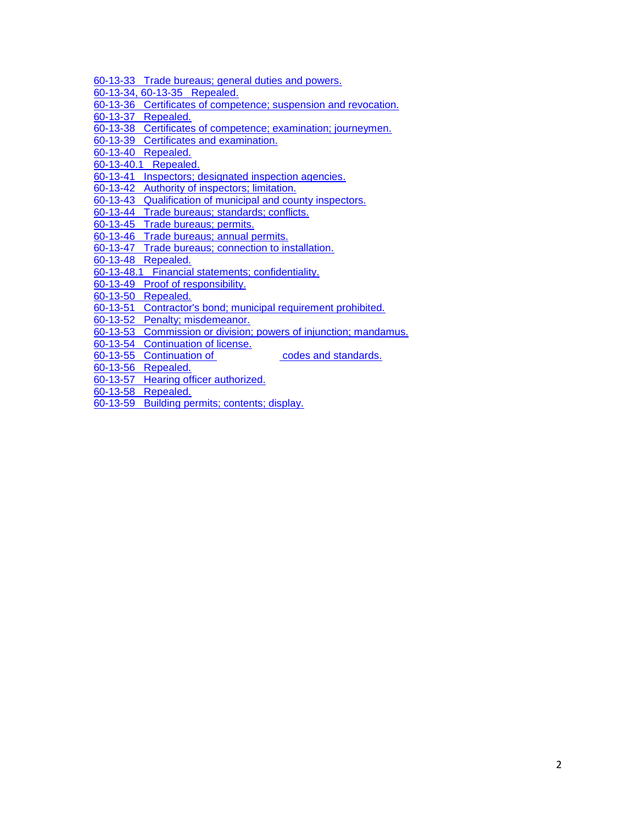- [60-13-33 Trade bureaus; general duties and powers.](http://www.nmonesource.com/nmpublic/gateway.dll?f=jumplink$jumplink_x=Advanced$jumplink_vpc=first$jumplink_xsl=querylink.xsl$jumplink_sel=title;path;content-type;home-title;item-bookmark$jumplink_d=%7bnmsu%7d$jumplink_q=%5bfield%20folio-destination-name:)
- [60-13-34, 60-13-35 Repealed.](http://www.nmonesource.com/nmpublic/gateway.dll?f=jumplink$jumplink_x=Advanced$jumplink_vpc=first$jumplink_xsl=querylink.xsl$jumplink_sel=title;path;content-type;home-title;item-bookmark$jumplink_d=%7bnmsu%7d$jumplink_q=%5bfield%20folio-destination-name:)
- [60-13-36 Certificates of competence; suspension and revocation.](http://www.nmonesource.com/nmpublic/gateway.dll?f=jumplink$jumplink_x=Advanced$jumplink_vpc=first$jumplink_xsl=querylink.xsl$jumplink_sel=title;path;content-type;home-title;item-bookmark$jumplink_d=%7bnmsu%7d$jumplink_q=%5bfield%20folio-destination-name:)
- [60-13-37 Repealed.](http://www.nmonesource.com/nmpublic/gateway.dll?f=jumplink$jumplink_x=Advanced$jumplink_vpc=first$jumplink_xsl=querylink.xsl$jumplink_sel=title;path;content-type;home-title;item-bookmark$jumplink_d=%7bnmsu%7d$jumplink_q=%5bfield%20folio-destination-name:)
- [60-13-38 Certificates of competence; examination; journeymen.](http://www.nmonesource.com/nmpublic/gateway.dll?f=jumplink$jumplink_x=Advanced$jumplink_vpc=first$jumplink_xsl=querylink.xsl$jumplink_sel=title;path;content-type;home-title;item-bookmark$jumplink_d=%7bnmsu%7d$jumplink_q=%5bfield%20folio-destination-name:)
- [60-13-39 Certificates and examination.](http://www.nmonesource.com/nmpublic/gateway.dll?f=jumplink$jumplink_x=Advanced$jumplink_vpc=first$jumplink_xsl=querylink.xsl$jumplink_sel=title;path;content-type;home-title;item-bookmark$jumplink_d=%7bnmsu%7d$jumplink_q=%5bfield%20folio-destination-name:)
- [60-13-40 Repealed.](http://www.nmonesource.com/nmpublic/gateway.dll?f=jumplink$jumplink_x=Advanced$jumplink_vpc=first$jumplink_xsl=querylink.xsl$jumplink_sel=title;path;content-type;home-title;item-bookmark$jumplink_d=%7bnmsu%7d$jumplink_q=%5bfield%20folio-destination-name:)
- [60-13-40.1 Repealed.](http://www.nmonesource.com/nmpublic/gateway.dll?f=jumplink$jumplink_x=Advanced$jumplink_vpc=first$jumplink_xsl=querylink.xsl$jumplink_sel=title;path;content-type;home-title;item-bookmark$jumplink_d=%7bnmsu%7d$jumplink_q=%5bfield%20folio-destination-name:)
- [60-13-41 Inspectors; designated inspection agencies.](http://www.nmonesource.com/nmpublic/gateway.dll?f=jumplink$jumplink_x=Advanced$jumplink_vpc=first$jumplink_xsl=querylink.xsl$jumplink_sel=title;path;content-type;home-title;item-bookmark$jumplink_d=%7bnmsu%7d$jumplink_q=%5bfield%20folio-destination-name:)
- [60-13-42 Authority of inspectors; limitation.](http://www.nmonesource.com/nmpublic/gateway.dll?f=jumplink$jumplink_x=Advanced$jumplink_vpc=first$jumplink_xsl=querylink.xsl$jumplink_sel=title;path;content-type;home-title;item-bookmark$jumplink_d=%7bnmsu%7d$jumplink_q=%5bfield%20folio-destination-name:)
- [60-13-43 Qualification of municipal and county inspectors.](http://www.nmonesource.com/nmpublic/gateway.dll?f=jumplink$jumplink_x=Advanced$jumplink_vpc=first$jumplink_xsl=querylink.xsl$jumplink_sel=title;path;content-type;home-title;item-bookmark$jumplink_d=%7bnmsu%7d$jumplink_q=%5bfield%20folio-destination-name:)
- [60-13-44 Trade bureaus; standards; conflicts.](http://www.nmonesource.com/nmpublic/gateway.dll?f=jumplink$jumplink_x=Advanced$jumplink_vpc=first$jumplink_xsl=querylink.xsl$jumplink_sel=title;path;content-type;home-title;item-bookmark$jumplink_d=%7bnmsu%7d$jumplink_q=%5bfield%20folio-destination-name:)
- [60-13-45 Trade bureaus; permits.](http://www.nmonesource.com/nmpublic/gateway.dll?f=jumplink$jumplink_x=Advanced$jumplink_vpc=first$jumplink_xsl=querylink.xsl$jumplink_sel=title;path;content-type;home-title;item-bookmark$jumplink_d=%7bnmsu%7d$jumplink_q=%5bfield%20folio-destination-name:)
- [60-13-46 Trade bureaus; annual permits.](http://www.nmonesource.com/nmpublic/gateway.dll?f=jumplink$jumplink_x=Advanced$jumplink_vpc=first$jumplink_xsl=querylink.xsl$jumplink_sel=title;path;content-type;home-title;item-bookmark$jumplink_d=%7bnmsu%7d$jumplink_q=%5bfield%20folio-destination-name:)
- [60-13-47 Trade bureaus; connection to installation.](http://www.nmonesource.com/nmpublic/gateway.dll?f=jumplink$jumplink_x=Advanced$jumplink_vpc=first$jumplink_xsl=querylink.xsl$jumplink_sel=title;path;content-type;home-title;item-bookmark$jumplink_d=%7bnmsu%7d$jumplink_q=%5bfield%20folio-destination-name:)
- [60-13-48 Repealed.](http://www.nmonesource.com/nmpublic/gateway.dll?f=jumplink$jumplink_x=Advanced$jumplink_vpc=first$jumplink_xsl=querylink.xsl$jumplink_sel=title;path;content-type;home-title;item-bookmark$jumplink_d=%7bnmsu%7d$jumplink_q=%5bfield%20folio-destination-name:)
- [60-13-48.1 Financial statements; confidentiality.](http://www.nmonesource.com/nmpublic/gateway.dll?f=jumplink$jumplink_x=Advanced$jumplink_vpc=first$jumplink_xsl=querylink.xsl$jumplink_sel=title;path;content-type;home-title;item-bookmark$jumplink_d=%7bnmsu%7d$jumplink_q=%5bfield%20folio-destination-name:)
- [60-13-49 Proof of responsibility.](http://www.nmonesource.com/nmpublic/gateway.dll?f=jumplink$jumplink_x=Advanced$jumplink_vpc=first$jumplink_xsl=querylink.xsl$jumplink_sel=title;path;content-type;home-title;item-bookmark$jumplink_d=%7bnmsu%7d$jumplink_q=%5bfield%20folio-destination-name:)
- [60-13-50 Repealed.](http://www.nmonesource.com/nmpublic/gateway.dll?f=jumplink$jumplink_x=Advanced$jumplink_vpc=first$jumplink_xsl=querylink.xsl$jumplink_sel=title;path;content-type;home-title;item-bookmark$jumplink_d=%7bnmsu%7d$jumplink_q=%5bfield%20folio-destination-name:)
- [60-13-51 Contractor's bond; municipal requirement prohibited.](http://www.nmonesource.com/nmpublic/gateway.dll?f=jumplink$jumplink_x=Advanced$jumplink_vpc=first$jumplink_xsl=querylink.xsl$jumplink_sel=title;path;content-type;home-title;item-bookmark$jumplink_d=%7bnmsu%7d$jumplink_q=%5bfield%20folio-destination-name:)
- [60-13-52 Penalty; misdemeanor.](http://www.nmonesource.com/nmpublic/gateway.dll?f=jumplink$jumplink_x=Advanced$jumplink_vpc=first$jumplink_xsl=querylink.xsl$jumplink_sel=title;path;content-type;home-title;item-bookmark$jumplink_d=%7bnmsu%7d$jumplink_q=%5bfield%20folio-destination-name:)
- [60-13-53 Commission or division; powers of injunction; mandamus.](http://www.nmonesource.com/nmpublic/gateway.dll?f=jumplink$jumplink_x=Advanced$jumplink_vpc=first$jumplink_xsl=querylink.xsl$jumplink_sel=title;path;content-type;home-title;item-bookmark$jumplink_d=%7bnmsu%7d$jumplink_q=%5bfield%20folio-destination-name:)
- [60-13-54 Continuation of license.](http://www.nmonesource.com/nmpublic/gateway.dll?f=jumplink$jumplink_x=Advanced$jumplink_vpc=first$jumplink_xsl=querylink.xsl$jumplink_sel=title;path;content-type;home-title;item-bookmark$jumplink_d=%7bnmsu%7d$jumplink_q=%5bfield%20folio-destination-name:)
- [60-13-55 Continuation of](http://www.nmonesource.com/nmpublic/gateway.dll?f=jumplink$jumplink_x=Advanced$jumplink_vpc=first$jumplink_xsl=querylink.xsl$jumplink_sel=title;path;content-type;home-title;item-bookmark$jumplink_d=%7bnmsu%7d$jumplink_q=%5bfield%20folio-destination-name:) **construction** codes and standards.
- [60-13-56 Repealed.](http://www.nmonesource.com/nmpublic/gateway.dll?f=jumplink$jumplink_x=Advanced$jumplink_vpc=first$jumplink_xsl=querylink.xsl$jumplink_sel=title;path;content-type;home-title;item-bookmark$jumplink_d=%7bnmsu%7d$jumplink_q=%5bfield%20folio-destination-name:)
- [60-13-57 Hearing officer authorized.](http://www.nmonesource.com/nmpublic/gateway.dll?f=jumplink$jumplink_x=Advanced$jumplink_vpc=first$jumplink_xsl=querylink.xsl$jumplink_sel=title;path;content-type;home-title;item-bookmark$jumplink_d=%7bnmsu%7d$jumplink_q=%5bfield%20folio-destination-name:)
- [60-13-58 Repealed.](http://www.nmonesource.com/nmpublic/gateway.dll?f=jumplink$jumplink_x=Advanced$jumplink_vpc=first$jumplink_xsl=querylink.xsl$jumplink_sel=title;path;content-type;home-title;item-bookmark$jumplink_d=%7bnmsu%7d$jumplink_q=%5bfield%20folio-destination-name:)
- [60-13-59 Building permits; contents; display.](http://www.nmonesource.com/nmpublic/gateway.dll?f=jumplink$jumplink_x=Advanced$jumplink_vpc=first$jumplink_xsl=querylink.xsl$jumplink_sel=title;path;content-type;home-title;item-bookmark$jumplink_d=%7bnmsu%7d$jumplink_q=%5bfield%20folio-destination-name:)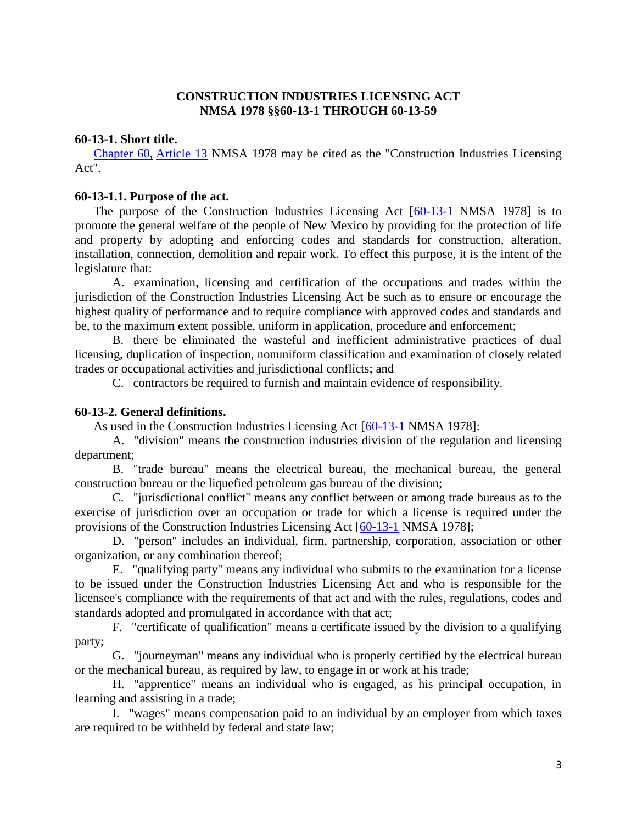# **CONSTRUCTION INDUSTRIES LICENSING ACT NMSA 1978 §§60-13-1 THROUGH 60-13-59**

### **60-13-1. Short title.**

[Chapter 60,](http://www.nmonesource.com/nmpublic/gateway.dll?f=jumplink$jumplink_x=Advanced$jumplink_vpc=first$jumplink_xsl=querylink.xsl$jumplink_sel=title;path;content-type;home-title;item-bookmark$jumplink_d=%7bnmsu%7d$jumplink_q=%5bfield%20folio-destination-name:) [Article 13](http://www.nmonesource.com/nmpublic/gateway.dll?f=jumplink$jumplink_x=Advanced$jumplink_vpc=first$jumplink_xsl=querylink.xsl$jumplink_sel=title;path;content-type;home-title;item-bookmark$jumplink_d=%7bnmsu%7d$jumplink_q=%5bfield%20folio-destination-name:) NMSA 1978 may be cited as the "Construction Industries Licensing Act".

### **60-13-1.1. Purpose of the act.**

The purpose of the Construction Industries Licensing Act [\[60-13-1](http://www.nmonesource.com/nmpublic/gateway.dll?f=jumplink$jumplink_x=Advanced$jumplink_vpc=first$jumplink_xsl=querylink.xsl$jumplink_sel=title;path;content-type;home-title;item-bookmark$jumplink_d=%7bnmsu%7d$jumplink_q=%5bfield%20folio-destination-name:) NMSA 1978] is to promote the general welfare of the people of New Mexico by providing for the protection of life and property by adopting and enforcing codes and standards for construction, alteration, installation, connection, demolition and repair work. To effect this purpose, it is the intent of the legislature that:

A. examination, licensing and certification of the occupations and trades within the jurisdiction of the Construction Industries Licensing Act be such as to ensure or encourage the highest quality of performance and to require compliance with approved codes and standards and be, to the maximum extent possible, uniform in application, procedure and enforcement;

B. there be eliminated the wasteful and inefficient administrative practices of dual licensing, duplication of inspection, nonuniform classification and examination of closely related trades or occupational activities and jurisdictional conflicts; and

C. contractors be required to furnish and maintain evidence of responsibility.

# **60-13-2. General definitions.**

As used in the Construction Industries Licensing Act [\[60-13-1](http://www.nmonesource.com/nmpublic/gateway.dll?f=jumplink$jumplink_x=Advanced$jumplink_vpc=first$jumplink_xsl=querylink.xsl$jumplink_sel=title;path;content-type;home-title;item-bookmark$jumplink_d=%7bnmsu%7d$jumplink_q=%5bfield%20folio-destination-name:) NMSA 1978]:

A. "division" means the construction industries division of the regulation and licensing department;

B. "trade bureau" means the electrical bureau, the mechanical bureau, the general construction bureau or the liquefied petroleum gas bureau of the division;

C. "jurisdictional conflict" means any conflict between or among trade bureaus as to the exercise of jurisdiction over an occupation or trade for which a license is required under the provisions of the Construction Industries Licensing Act [\[60-13-1](http://www.nmonesource.com/nmpublic/gateway.dll?f=jumplink$jumplink_x=Advanced$jumplink_vpc=first$jumplink_xsl=querylink.xsl$jumplink_sel=title;path;content-type;home-title;item-bookmark$jumplink_d=%7bnmsu%7d$jumplink_q=%5bfield%20folio-destination-name:) NMSA 1978];

D. "person" includes an individual, firm, partnership, corporation, association or other organization, or any combination thereof;

E. "qualifying party" means any individual who submits to the examination for a license to be issued under the Construction Industries Licensing Act and who is responsible for the licensee's compliance with the requirements of that act and with the rules, regulations, codes and standards adopted and promulgated in accordance with that act;

F. "certificate of qualification" means a certificate issued by the division to a qualifying party;

G. "journeyman" means any individual who is properly certified by the electrical bureau or the mechanical bureau, as required by law, to engage in or work at his trade;

H. "apprentice" means an individual who is engaged, as his principal occupation, in learning and assisting in a trade;

I. "wages" means compensation paid to an individual by an employer from which taxes are required to be withheld by federal and state law;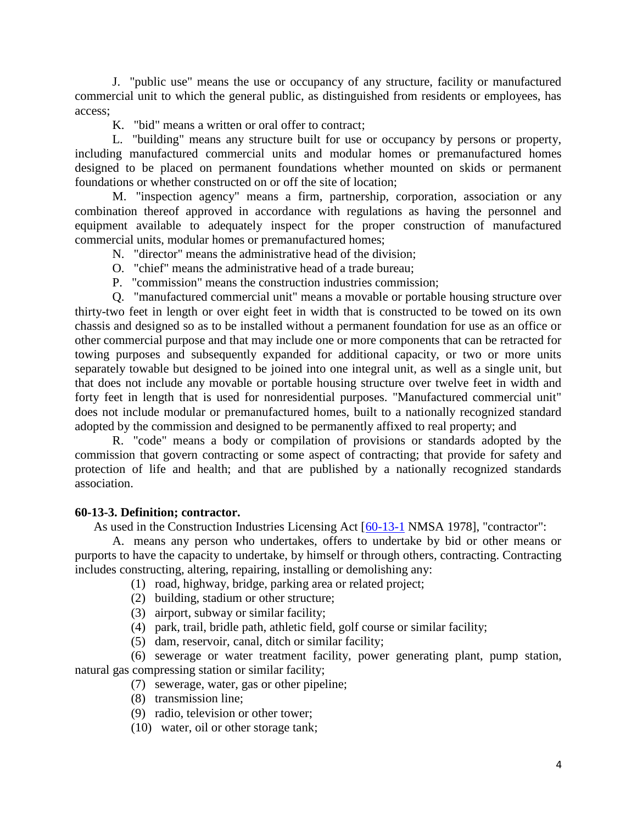J. "public use" means the use or occupancy of any structure, facility or manufactured commercial unit to which the general public, as distinguished from residents or employees, has access;

K. "bid" means a written or oral offer to contract;

L. "building" means any structure built for use or occupancy by persons or property, including manufactured commercial units and modular homes or premanufactured homes designed to be placed on permanent foundations whether mounted on skids or permanent foundations or whether constructed on or off the site of location;

M. "inspection agency" means a firm, partnership, corporation, association or any combination thereof approved in accordance with regulations as having the personnel and equipment available to adequately inspect for the proper construction of manufactured commercial units, modular homes or premanufactured homes;

- N. "director" means the administrative head of the division;
- O. "chief" means the administrative head of a trade bureau;
- P. "commission" means the construction industries commission;

Q. "manufactured commercial unit" means a movable or portable housing structure over thirty-two feet in length or over eight feet in width that is constructed to be towed on its own chassis and designed so as to be installed without a permanent foundation for use as an office or other commercial purpose and that may include one or more components that can be retracted for towing purposes and subsequently expanded for additional capacity, or two or more units separately towable but designed to be joined into one integral unit, as well as a single unit, but that does not include any movable or portable housing structure over twelve feet in width and forty feet in length that is used for nonresidential purposes. "Manufactured commercial unit" does not include modular or premanufactured homes, built to a nationally recognized standard adopted by the commission and designed to be permanently affixed to real property; and

R. "code" means a body or compilation of provisions or standards adopted by the commission that govern contracting or some aspect of contracting; that provide for safety and protection of life and health; and that are published by a nationally recognized standards association.

# **60-13-3. Definition; contractor.**

As used in the Construction Industries Licensing Act [\[60-13-1](http://www.nmonesource.com/nmpublic/gateway.dll?f=jumplink$jumplink_x=Advanced$jumplink_vpc=first$jumplink_xsl=querylink.xsl$jumplink_sel=title;path;content-type;home-title;item-bookmark$jumplink_d=%7bnmsu%7d$jumplink_q=%5bfield%20folio-destination-name:) NMSA 1978], "contractor":

A. means any person who undertakes, offers to undertake by bid or other means or purports to have the capacity to undertake, by himself or through others, contracting. Contracting includes constructing, altering, repairing, installing or demolishing any:

- (1) road, highway, bridge, parking area or related project;
- (2) building, stadium or other structure;
- (3) airport, subway or similar facility;
- (4) park, trail, bridle path, athletic field, golf course or similar facility;
- (5) dam, reservoir, canal, ditch or similar facility;

(6) sewerage or water treatment facility, power generating plant, pump station, natural gas compressing station or similar facility;

- (7) sewerage, water, gas or other pipeline;
- (8) transmission line;
- (9) radio, television or other tower;
- (10) water, oil or other storage tank;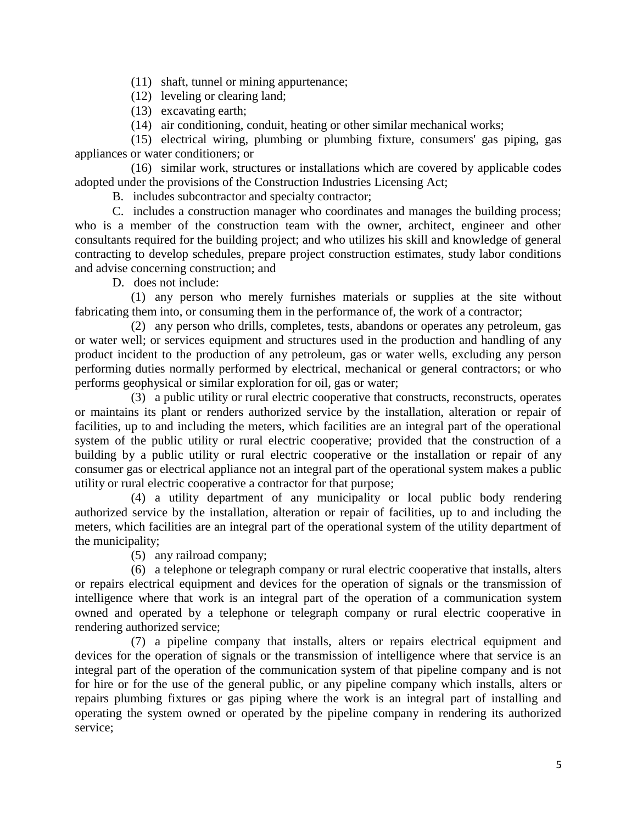(11) shaft, tunnel or mining appurtenance;

(12) leveling or clearing land;

(13) excavating earth;

(14) air conditioning, conduit, heating or other similar mechanical works;

(15) electrical wiring, plumbing or plumbing fixture, consumers' gas piping, gas appliances or water conditioners; or

(16) similar work, structures or installations which are covered by applicable codes adopted under the provisions of the Construction Industries Licensing Act;

B. includes subcontractor and specialty contractor;

C. includes a construction manager who coordinates and manages the building process; who is a member of the construction team with the owner, architect, engineer and other consultants required for the building project; and who utilizes his skill and knowledge of general contracting to develop schedules, prepare project construction estimates, study labor conditions and advise concerning construction; and

D. does not include:

(1) any person who merely furnishes materials or supplies at the site without fabricating them into, or consuming them in the performance of, the work of a contractor;

(2) any person who drills, completes, tests, abandons or operates any petroleum, gas or water well; or services equipment and structures used in the production and handling of any product incident to the production of any petroleum, gas or water wells, excluding any person performing duties normally performed by electrical, mechanical or general contractors; or who performs geophysical or similar exploration for oil, gas or water;

(3) a public utility or rural electric cooperative that constructs, reconstructs, operates or maintains its plant or renders authorized service by the installation, alteration or repair of facilities, up to and including the meters, which facilities are an integral part of the operational system of the public utility or rural electric cooperative; provided that the construction of a building by a public utility or rural electric cooperative or the installation or repair of any consumer gas or electrical appliance not an integral part of the operational system makes a public utility or rural electric cooperative a contractor for that purpose;

(4) a utility department of any municipality or local public body rendering authorized service by the installation, alteration or repair of facilities, up to and including the meters, which facilities are an integral part of the operational system of the utility department of the municipality;

(5) any railroad company;

(6) a telephone or telegraph company or rural electric cooperative that installs, alters or repairs electrical equipment and devices for the operation of signals or the transmission of intelligence where that work is an integral part of the operation of a communication system owned and operated by a telephone or telegraph company or rural electric cooperative in rendering authorized service;

(7) a pipeline company that installs, alters or repairs electrical equipment and devices for the operation of signals or the transmission of intelligence where that service is an integral part of the operation of the communication system of that pipeline company and is not for hire or for the use of the general public, or any pipeline company which installs, alters or repairs plumbing fixtures or gas piping where the work is an integral part of installing and operating the system owned or operated by the pipeline company in rendering its authorized service;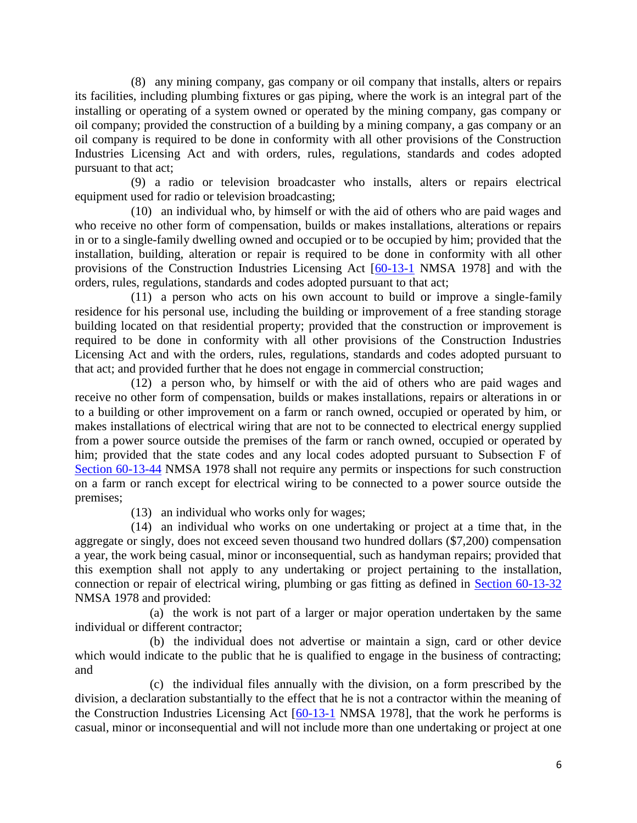(8) any mining company, gas company or oil company that installs, alters or repairs its facilities, including plumbing fixtures or gas piping, where the work is an integral part of the installing or operating of a system owned or operated by the mining company, gas company or oil company; provided the construction of a building by a mining company, a gas company or an oil company is required to be done in conformity with all other provisions of the Construction Industries Licensing Act and with orders, rules, regulations, standards and codes adopted pursuant to that act;

(9) a radio or television broadcaster who installs, alters or repairs electrical equipment used for radio or television broadcasting;

(10) an individual who, by himself or with the aid of others who are paid wages and who receive no other form of compensation, builds or makes installations, alterations or repairs in or to a single-family dwelling owned and occupied or to be occupied by him; provided that the installation, building, alteration or repair is required to be done in conformity with all other provisions of the Construction Industries Licensing Act [\[60-13-1](http://www.nmonesource.com/nmpublic/gateway.dll?f=jumplink$jumplink_x=Advanced$jumplink_vpc=first$jumplink_xsl=querylink.xsl$jumplink_sel=title;path;content-type;home-title;item-bookmark$jumplink_d=%7bnmsu%7d$jumplink_q=%5bfield%20folio-destination-name:) NMSA 1978] and with the orders, rules, regulations, standards and codes adopted pursuant to that act;

(11) a person who acts on his own account to build or improve a single-family residence for his personal use, including the building or improvement of a free standing storage building located on that residential property; provided that the construction or improvement is required to be done in conformity with all other provisions of the Construction Industries Licensing Act and with the orders, rules, regulations, standards and codes adopted pursuant to that act; and provided further that he does not engage in commercial construction;

(12) a person who, by himself or with the aid of others who are paid wages and receive no other form of compensation, builds or makes installations, repairs or alterations in or to a building or other improvement on a farm or ranch owned, occupied or operated by him, or makes installations of electrical wiring that are not to be connected to electrical energy supplied from a power source outside the premises of the farm or ranch owned, occupied or operated by him; provided that the state codes and any local codes adopted pursuant to Subsection F of [Section 60-13-44](http://www.nmonesource.com/nmpublic/gateway.dll?f=jumplink$jumplink_x=Advanced$jumplink_vpc=first$jumplink_xsl=querylink.xsl$jumplink_sel=title;path;content-type;home-title;item-bookmark$jumplink_d=%7bnmsu%7d$jumplink_q=%5bfield%20folio-destination-name:) NMSA 1978 shall not require any permits or inspections for such construction on a farm or ranch except for electrical wiring to be connected to a power source outside the premises;

(13) an individual who works only for wages;

(14) an individual who works on one undertaking or project at a time that, in the aggregate or singly, does not exceed seven thousand two hundred dollars (\$7,200) compensation a year, the work being casual, minor or inconsequential, such as handyman repairs; provided that this exemption shall not apply to any undertaking or project pertaining to the installation, connection or repair of electrical wiring, plumbing or gas fitting as defined in [Section 60-13-32](http://www.nmonesource.com/nmpublic/gateway.dll?f=jumplink$jumplink_x=Advanced$jumplink_vpc=first$jumplink_xsl=querylink.xsl$jumplink_sel=title;path;content-type;home-title;item-bookmark$jumplink_d=%7bnmsu%7d$jumplink_q=%5bfield%20folio-destination-name:) NMSA 1978 and provided:

(a) the work is not part of a larger or major operation undertaken by the same individual or different contractor;

(b) the individual does not advertise or maintain a sign, card or other device which would indicate to the public that he is qualified to engage in the business of contracting; and

(c) the individual files annually with the division, on a form prescribed by the division, a declaration substantially to the effect that he is not a contractor within the meaning of the Construction Industries Licensing Act [\[60-13-1](http://www.nmonesource.com/nmpublic/gateway.dll?f=jumplink$jumplink_x=Advanced$jumplink_vpc=first$jumplink_xsl=querylink.xsl$jumplink_sel=title;path;content-type;home-title;item-bookmark$jumplink_d=%7bnmsu%7d$jumplink_q=%5bfield%20folio-destination-name:) NMSA 1978], that the work he performs is casual, minor or inconsequential and will not include more than one undertaking or project at one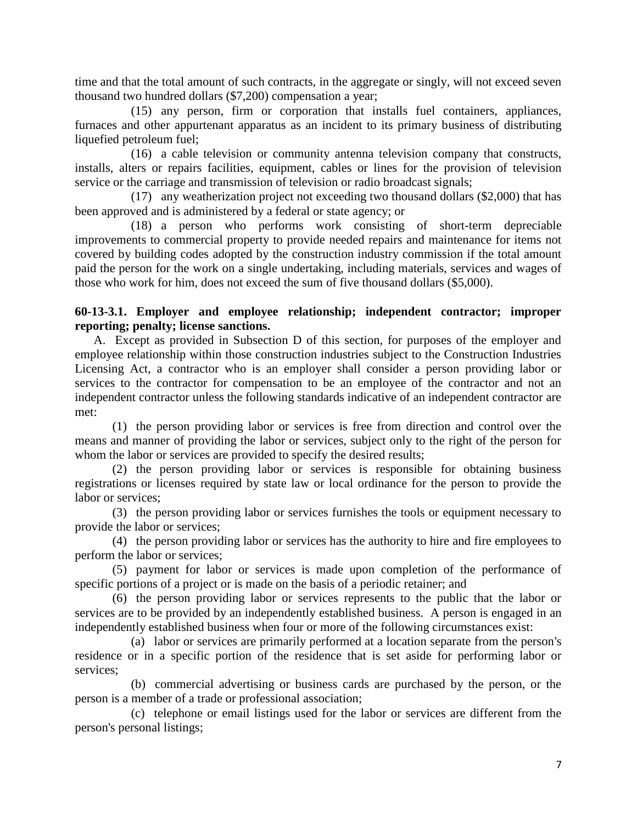time and that the total amount of such contracts, in the aggregate or singly, will not exceed seven thousand two hundred dollars (\$7,200) compensation a year;

(15) any person, firm or corporation that installs fuel containers, appliances, furnaces and other appurtenant apparatus as an incident to its primary business of distributing liquefied petroleum fuel;

(16) a cable television or community antenna television company that constructs, installs, alters or repairs facilities, equipment, cables or lines for the provision of television service or the carriage and transmission of television or radio broadcast signals;

(17) any weatherization project not exceeding two thousand dollars (\$2,000) that has been approved and is administered by a federal or state agency; or

(18) a person who performs work consisting of short-term depreciable improvements to commercial property to provide needed repairs and maintenance for items not covered by building codes adopted by the construction industry commission if the total amount paid the person for the work on a single undertaking, including materials, services and wages of those who work for him, does not exceed the sum of five thousand dollars (\$5,000).

# **60-13-3.1. Employer and employee relationship; independent contractor; improper reporting; penalty; license sanctions.**

A. Except as provided in Subsection D of this section, for purposes of the employer and employee relationship within those construction industries subject to the Construction Industries Licensing Act, a contractor who is an employer shall consider a person providing labor or services to the contractor for compensation to be an employee of the contractor and not an independent contractor unless the following standards indicative of an independent contractor are met:

(1) the person providing labor or services is free from direction and control over the means and manner of providing the labor or services, subject only to the right of the person for whom the labor or services are provided to specify the desired results;

(2) the person providing labor or services is responsible for obtaining business registrations or licenses required by state law or local ordinance for the person to provide the labor or services;

(3) the person providing labor or services furnishes the tools or equipment necessary to provide the labor or services;

(4) the person providing labor or services has the authority to hire and fire employees to perform the labor or services;

(5) payment for labor or services is made upon completion of the performance of specific portions of a project or is made on the basis of a periodic retainer; and

(6) the person providing labor or services represents to the public that the labor or services are to be provided by an independently established business. A person is engaged in an independently established business when four or more of the following circumstances exist:

(a) labor or services are primarily performed at a location separate from the person's residence or in a specific portion of the residence that is set aside for performing labor or services;

(b) commercial advertising or business cards are purchased by the person, or the person is a member of a trade or professional association;

(c) telephone or email listings used for the labor or services are different from the person's personal listings;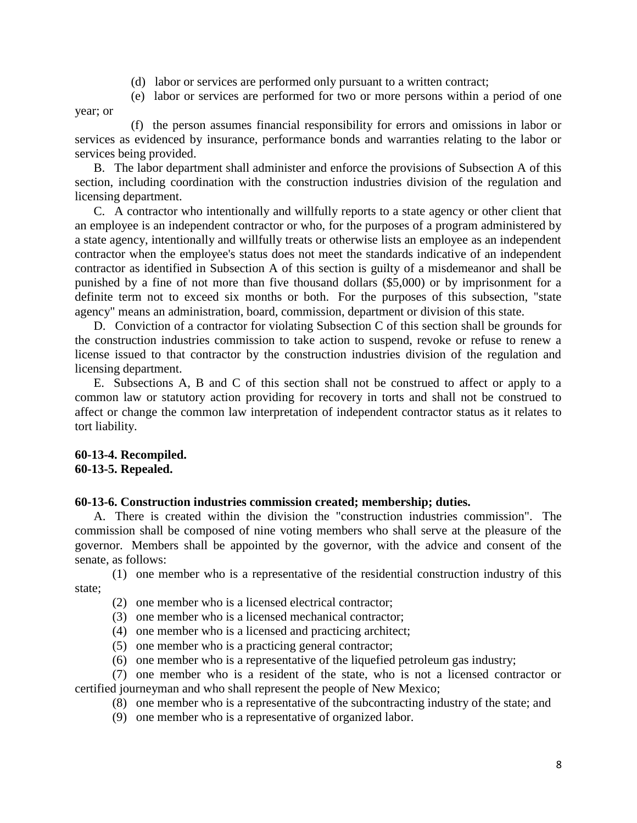- (d) labor or services are performed only pursuant to a written contract;
- (e) labor or services are performed for two or more persons within a period of one year; or

(f) the person assumes financial responsibility for errors and omissions in labor or services as evidenced by insurance, performance bonds and warranties relating to the labor or services being provided.

B. The labor department shall administer and enforce the provisions of Subsection A of this section, including coordination with the construction industries division of the regulation and licensing department.

C. A contractor who intentionally and willfully reports to a state agency or other client that an employee is an independent contractor or who, for the purposes of a program administered by a state agency, intentionally and willfully treats or otherwise lists an employee as an independent contractor when the employee's status does not meet the standards indicative of an independent contractor as identified in Subsection A of this section is guilty of a misdemeanor and shall be punished by a fine of not more than five thousand dollars (\$5,000) or by imprisonment for a definite term not to exceed six months or both. For the purposes of this subsection, "state agency" means an administration, board, commission, department or division of this state.

D. Conviction of a contractor for violating Subsection C of this section shall be grounds for the construction industries commission to take action to suspend, revoke or refuse to renew a license issued to that contractor by the construction industries division of the regulation and licensing department.

E. Subsections A, B and C of this section shall not be construed to affect or apply to a common law or statutory action providing for recovery in torts and shall not be construed to affect or change the common law interpretation of independent contractor status as it relates to tort liability.

### **60-13-4. Recompiled. 60-13-5. Repealed.**

# **60-13-6. Construction industries commission created; membership; duties.**

A. There is created within the division the "construction industries commission". The commission shall be composed of nine voting members who shall serve at the pleasure of the governor. Members shall be appointed by the governor, with the advice and consent of the senate, as follows:

(1) one member who is a representative of the residential construction industry of this state;

- (2) one member who is a licensed electrical contractor;
- (3) one member who is a licensed mechanical contractor;
- (4) one member who is a licensed and practicing architect;
- (5) one member who is a practicing general contractor;
- (6) one member who is a representative of the liquefied petroleum gas industry;

(7) one member who is a resident of the state, who is not a licensed contractor or certified journeyman and who shall represent the people of New Mexico;

- (8) one member who is a representative of the subcontracting industry of the state; and
- (9) one member who is a representative of organized labor.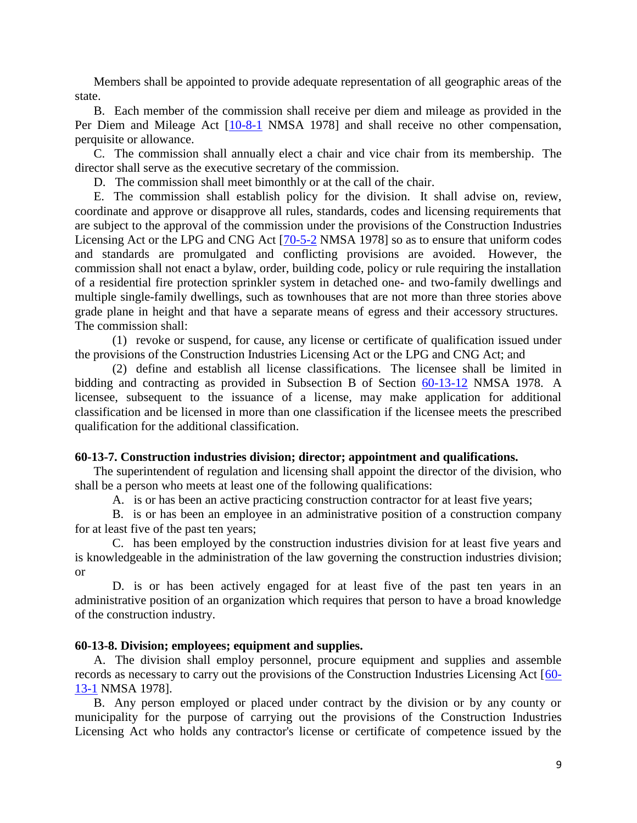Members shall be appointed to provide adequate representation of all geographic areas of the state.

B. Each member of the commission shall receive per diem and mileage as provided in the Per Diem and Mileage Act [\[10-8-1](http://www.nmonesource.com/nmpublic/gateway.dll?f=jumplink$jumplink_x=Advanced$jumplink_vpc=first$jumplink_xsl=querylink.xsl$jumplink_sel=title;path;content-type;home-title;item-bookmark$jumplink_d=%7bnmsu%7d$jumplink_q=%5bfield%20folio-destination-name:) NMSA 1978] and shall receive no other compensation, perquisite or allowance.

C. The commission shall annually elect a chair and vice chair from its membership. The director shall serve as the executive secretary of the commission.

D. The commission shall meet bimonthly or at the call of the chair.

E. The commission shall establish policy for the division. It shall advise on, review, coordinate and approve or disapprove all rules, standards, codes and licensing requirements that are subject to the approval of the commission under the provisions of the Construction Industries Licensing Act or the LPG and CNG Act [\[70-5-2](http://www.nmonesource.com/nmpublic/gateway.dll?f=jumplink$jumplink_x=Advanced$jumplink_vpc=first$jumplink_xsl=querylink.xsl$jumplink_sel=title;path;content-type;home-title;item-bookmark$jumplink_d=%7bnmsu%7d$jumplink_q=%5bfield%20folio-destination-name:) NMSA 1978] so as to ensure that uniform codes and standards are promulgated and conflicting provisions are avoided. However, the commission shall not enact a bylaw, order, building code, policy or rule requiring the installation of a residential fire protection sprinkler system in detached one- and two-family dwellings and multiple single-family dwellings, such as townhouses that are not more than three stories above grade plane in height and that have a separate means of egress and their accessory structures. The commission shall:

(1) revoke or suspend, for cause, any license or certificate of qualification issued under the provisions of the Construction Industries Licensing Act or the LPG and CNG Act; and

(2) define and establish all license classifications. The licensee shall be limited in bidding and contracting as provided in Subsection B of Section [60-13-12](http://www.nmonesource.com/nmpublic/gateway.dll?f=jumplink$jumplink_x=Advanced$jumplink_vpc=first$jumplink_xsl=querylink.xsl$jumplink_sel=title;path;content-type;home-title;item-bookmark$jumplink_d=%7bnmsu%7d$jumplink_q=%5bfield%20folio-destination-name:) NMSA 1978. A licensee, subsequent to the issuance of a license, may make application for additional classification and be licensed in more than one classification if the licensee meets the prescribed qualification for the additional classification.

# **60-13-7. Construction industries division; director; appointment and qualifications.**

The superintendent of regulation and licensing shall appoint the director of the division, who shall be a person who meets at least one of the following qualifications:

A. is or has been an active practicing construction contractor for at least five years;

B. is or has been an employee in an administrative position of a construction company for at least five of the past ten years;

C. has been employed by the construction industries division for at least five years and is knowledgeable in the administration of the law governing the construction industries division; or

D. is or has been actively engaged for at least five of the past ten years in an administrative position of an organization which requires that person to have a broad knowledge of the construction industry.

# **60-13-8. Division; employees; equipment and supplies.**

A. The division shall employ personnel, procure equipment and supplies and assemble records as necessary to carry out the provisions of the Construction Industries Licensing Act [\[60-](http://www.nmonesource.com/nmpublic/gateway.dll?f=jumplink$jumplink_x=Advanced$jumplink_vpc=first$jumplink_xsl=querylink.xsl$jumplink_sel=title;path;content-type;home-title;item-bookmark$jumplink_d=%7bnmsu%7d$jumplink_q=%5bfield%20folio-destination-name:) [13-1](http://www.nmonesource.com/nmpublic/gateway.dll?f=jumplink$jumplink_x=Advanced$jumplink_vpc=first$jumplink_xsl=querylink.xsl$jumplink_sel=title;path;content-type;home-title;item-bookmark$jumplink_d=%7bnmsu%7d$jumplink_q=%5bfield%20folio-destination-name:) NMSA 1978].

B. Any person employed or placed under contract by the division or by any county or municipality for the purpose of carrying out the provisions of the Construction Industries Licensing Act who holds any contractor's license or certificate of competence issued by the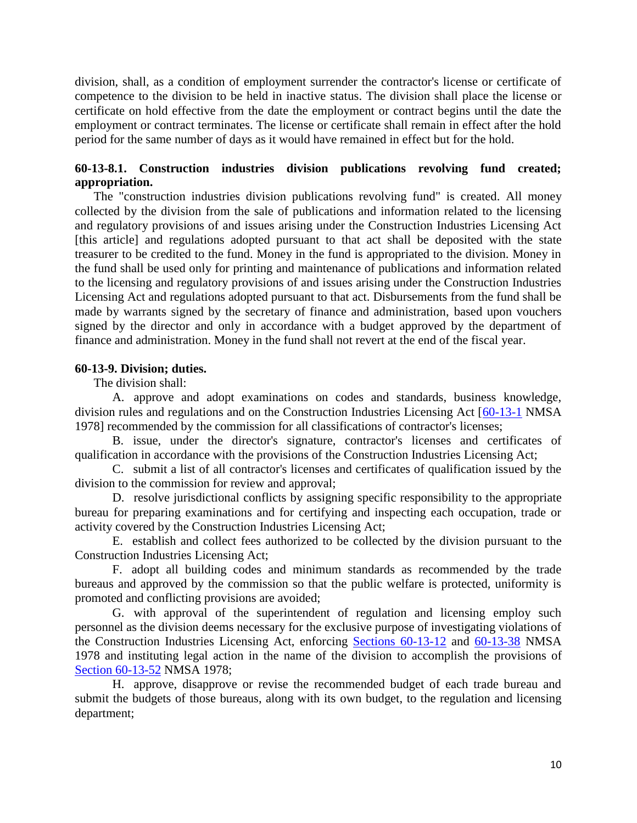division, shall, as a condition of employment surrender the contractor's license or certificate of competence to the division to be held in inactive status. The division shall place the license or certificate on hold effective from the date the employment or contract begins until the date the employment or contract terminates. The license or certificate shall remain in effect after the hold period for the same number of days as it would have remained in effect but for the hold.

# **60-13-8.1. Construction industries division publications revolving fund created; appropriation.**

The "construction industries division publications revolving fund" is created. All money collected by the division from the sale of publications and information related to the licensing and regulatory provisions of and issues arising under the Construction Industries Licensing Act [this article] and regulations adopted pursuant to that act shall be deposited with the state treasurer to be credited to the fund. Money in the fund is appropriated to the division. Money in the fund shall be used only for printing and maintenance of publications and information related to the licensing and regulatory provisions of and issues arising under the Construction Industries Licensing Act and regulations adopted pursuant to that act. Disbursements from the fund shall be made by warrants signed by the secretary of finance and administration, based upon vouchers signed by the director and only in accordance with a budget approved by the department of finance and administration. Money in the fund shall not revert at the end of the fiscal year.

# **60-13-9. Division; duties.**

The division shall:

A. approve and adopt examinations on codes and standards, business knowledge, division rules and regulations and on the Construction Industries Licensing Act [\[60-13-1](http://www.nmonesource.com/nmpublic/gateway.dll?f=jumplink$jumplink_x=Advanced$jumplink_vpc=first$jumplink_xsl=querylink.xsl$jumplink_sel=title;path;content-type;home-title;item-bookmark$jumplink_d=%7bnmsu%7d$jumplink_q=%5bfield%20folio-destination-name:) NMSA 1978] recommended by the commission for all classifications of contractor's licenses;

B. issue, under the director's signature, contractor's licenses and certificates of qualification in accordance with the provisions of the Construction Industries Licensing Act;

C. submit a list of all contractor's licenses and certificates of qualification issued by the division to the commission for review and approval;

D. resolve jurisdictional conflicts by assigning specific responsibility to the appropriate bureau for preparing examinations and for certifying and inspecting each occupation, trade or activity covered by the Construction Industries Licensing Act;

E. establish and collect fees authorized to be collected by the division pursuant to the Construction Industries Licensing Act;

F. adopt all building codes and minimum standards as recommended by the trade bureaus and approved by the commission so that the public welfare is protected, uniformity is promoted and conflicting provisions are avoided;

G. with approval of the superintendent of regulation and licensing employ such personnel as the division deems necessary for the exclusive purpose of investigating violations of the Construction Industries Licensing Act, enforcing [Sections 60-13-12](http://www.nmonesource.com/nmpublic/gateway.dll?f=jumplink$jumplink_x=Advanced$jumplink_vpc=first$jumplink_xsl=querylink.xsl$jumplink_sel=title;path;content-type;home-title;item-bookmark$jumplink_d=%7bnmsu%7d$jumplink_q=%5bfield%20folio-destination-name:) and [60-13-38](http://www.nmonesource.com/nmpublic/gateway.dll?f=jumplink$jumplink_x=Advanced$jumplink_vpc=first$jumplink_xsl=querylink.xsl$jumplink_sel=title;path;content-type;home-title;item-bookmark$jumplink_d=%7bnmsu%7d$jumplink_q=%5bfield%20folio-destination-name:) NMSA 1978 and instituting legal action in the name of the division to accomplish the provisions of [Section 60-13-52](http://www.nmonesource.com/nmpublic/gateway.dll?f=jumplink$jumplink_x=Advanced$jumplink_vpc=first$jumplink_xsl=querylink.xsl$jumplink_sel=title;path;content-type;home-title;item-bookmark$jumplink_d=%7bnmsu%7d$jumplink_q=%5bfield%20folio-destination-name:) NMSA 1978;

H. approve, disapprove or revise the recommended budget of each trade bureau and submit the budgets of those bureaus, along with its own budget, to the regulation and licensing department;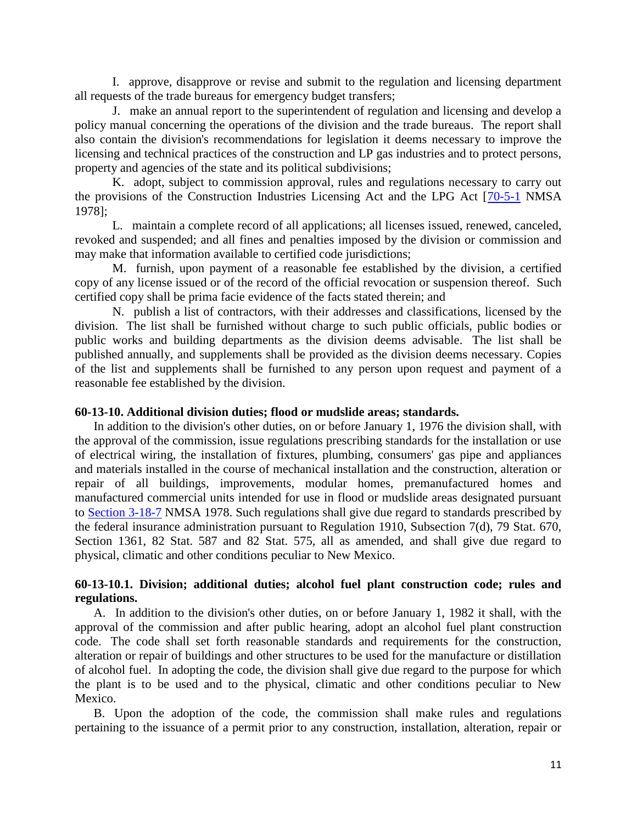I. approve, disapprove or revise and submit to the regulation and licensing department all requests of the trade bureaus for emergency budget transfers;

J. make an annual report to the superintendent of regulation and licensing and develop a policy manual concerning the operations of the division and the trade bureaus. The report shall also contain the division's recommendations for legislation it deems necessary to improve the licensing and technical practices of the construction and LP gas industries and to protect persons, property and agencies of the state and its political subdivisions;

K. adopt, subject to commission approval, rules and regulations necessary to carry out the provisions of the Construction Industries Licensing Act and the LPG Act [\[70-5-1](http://www.nmonesource.com/nmpublic/gateway.dll?f=jumplink$jumplink_x=Advanced$jumplink_vpc=first$jumplink_xsl=querylink.xsl$jumplink_sel=title;path;content-type;home-title;item-bookmark$jumplink_d=%7bnmsu%7d$jumplink_q=%5bfield%20folio-destination-name:) NMSA 1978];

L. maintain a complete record of all applications; all licenses issued, renewed, canceled, revoked and suspended; and all fines and penalties imposed by the division or commission and may make that information available to certified code jurisdictions;

M. furnish, upon payment of a reasonable fee established by the division, a certified copy of any license issued or of the record of the official revocation or suspension thereof. Such certified copy shall be prima facie evidence of the facts stated therein; and

N. publish a list of contractors, with their addresses and classifications, licensed by the division. The list shall be furnished without charge to such public officials, public bodies or public works and building departments as the division deems advisable. The list shall be published annually, and supplements shall be provided as the division deems necessary. Copies of the list and supplements shall be furnished to any person upon request and payment of a reasonable fee established by the division.

#### **60-13-10. Additional division duties; flood or mudslide areas; standards.**

In addition to the division's other duties, on or before January 1, 1976 the division shall, with the approval of the commission, issue regulations prescribing standards for the installation or use of electrical wiring, the installation of fixtures, plumbing, consumers' gas pipe and appliances and materials installed in the course of mechanical installation and the construction, alteration or repair of all buildings, improvements, modular homes, premanufactured homes and manufactured commercial units intended for use in flood or mudslide areas designated pursuant to [Section 3-18-7](http://www.nmonesource.com/nmpublic/gateway.dll?f=jumplink$jumplink_x=Advanced$jumplink_vpc=first$jumplink_xsl=querylink.xsl$jumplink_sel=title;path;content-type;home-title;item-bookmark$jumplink_d=%7bnmsu%7d$jumplink_q=%5bfield%20folio-destination-name:) NMSA 1978. Such regulations shall give due regard to standards prescribed by the federal insurance administration pursuant to Regulation 1910, Subsection 7(d), 79 Stat. 670, Section 1361, 82 Stat. 587 and 82 Stat. 575, all as amended, and shall give due regard to physical, climatic and other conditions peculiar to New Mexico.

### **60-13-10.1. Division; additional duties; alcohol fuel plant construction code; rules and regulations.**

A. In addition to the division's other duties, on or before January 1, 1982 it shall, with the approval of the commission and after public hearing, adopt an alcohol fuel plant construction code. The code shall set forth reasonable standards and requirements for the construction, alteration or repair of buildings and other structures to be used for the manufacture or distillation of alcohol fuel. In adopting the code, the division shall give due regard to the purpose for which the plant is to be used and to the physical, climatic and other conditions peculiar to New Mexico.

B. Upon the adoption of the code, the commission shall make rules and regulations pertaining to the issuance of a permit prior to any construction, installation, alteration, repair or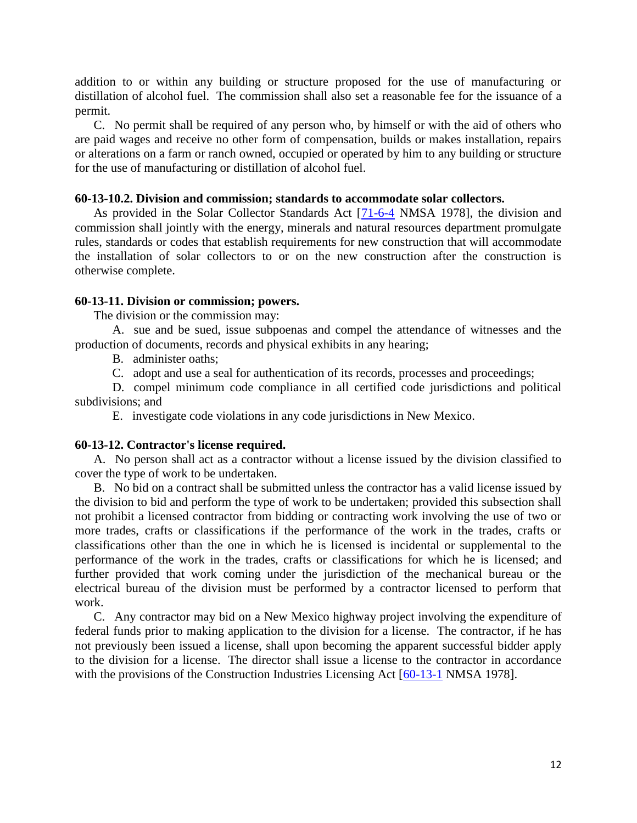addition to or within any building or structure proposed for the use of manufacturing or distillation of alcohol fuel. The commission shall also set a reasonable fee for the issuance of a permit.

C. No permit shall be required of any person who, by himself or with the aid of others who are paid wages and receive no other form of compensation, builds or makes installation, repairs or alterations on a farm or ranch owned, occupied or operated by him to any building or structure for the use of manufacturing or distillation of alcohol fuel.

#### **60-13-10.2. Division and commission; standards to accommodate solar collectors.**

As provided in the Solar Collector Standards Act [\[71-6-4](http://www.nmonesource.com/nmpublic/gateway.dll?f=jumplink$jumplink_x=Advanced$jumplink_vpc=first$jumplink_xsl=querylink.xsl$jumplink_sel=title;path;content-type;home-title;item-bookmark$jumplink_d=%7bnmsu%7d$jumplink_q=%5bfield%20folio-destination-name:) NMSA 1978], the division and commission shall jointly with the energy, minerals and natural resources department promulgate rules, standards or codes that establish requirements for new construction that will accommodate the installation of solar collectors to or on the new construction after the construction is otherwise complete.

#### **60-13-11. Division or commission; powers.**

The division or the commission may:

A. sue and be sued, issue subpoenas and compel the attendance of witnesses and the production of documents, records and physical exhibits in any hearing;

B. administer oaths;

C. adopt and use a seal for authentication of its records, processes and proceedings;

D. compel minimum code compliance in all certified code jurisdictions and political subdivisions; and

E. investigate code violations in any code jurisdictions in New Mexico.

#### **60-13-12. Contractor's license required.**

A. No person shall act as a contractor without a license issued by the division classified to cover the type of work to be undertaken.

B. No bid on a contract shall be submitted unless the contractor has a valid license issued by the division to bid and perform the type of work to be undertaken; provided this subsection shall not prohibit a licensed contractor from bidding or contracting work involving the use of two or more trades, crafts or classifications if the performance of the work in the trades, crafts or classifications other than the one in which he is licensed is incidental or supplemental to the performance of the work in the trades, crafts or classifications for which he is licensed; and further provided that work coming under the jurisdiction of the mechanical bureau or the electrical bureau of the division must be performed by a contractor licensed to perform that work.

C. Any contractor may bid on a New Mexico highway project involving the expenditure of federal funds prior to making application to the division for a license. The contractor, if he has not previously been issued a license, shall upon becoming the apparent successful bidder apply to the division for a license. The director shall issue a license to the contractor in accordance with the provisions of the Construction Industries Licensing Act [\[60-13-1](http://www.nmonesource.com/nmpublic/gateway.dll?f=jumplink$jumplink_x=Advanced$jumplink_vpc=first$jumplink_xsl=querylink.xsl$jumplink_sel=title;path;content-type;home-title;item-bookmark$jumplink_d=%7bnmsu%7d$jumplink_q=%5bfield%20folio-destination-name:) NMSA 1978].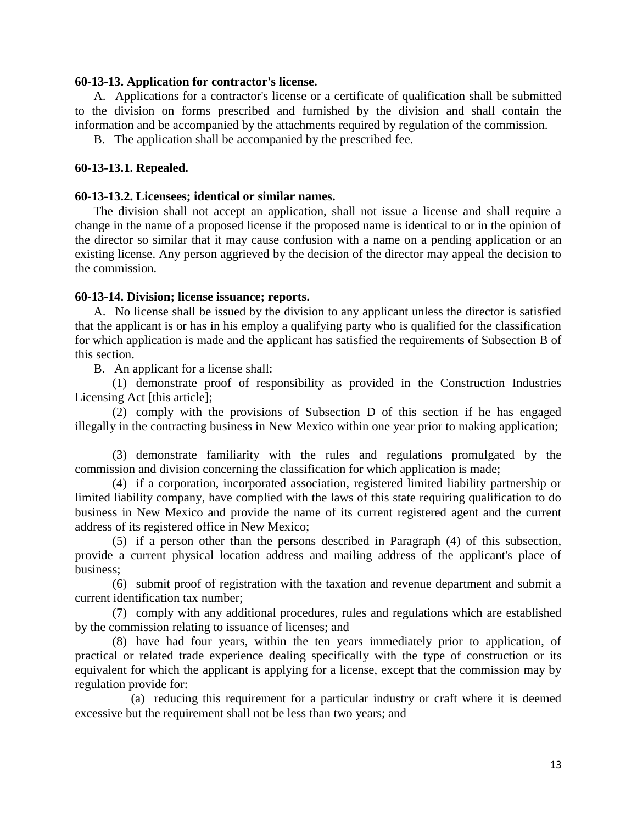### **60-13-13. Application for contractor's license.**

A. Applications for a contractor's license or a certificate of qualification shall be submitted to the division on forms prescribed and furnished by the division and shall contain the information and be accompanied by the attachments required by regulation of the commission.

B. The application shall be accompanied by the prescribed fee.

### **60-13-13.1. Repealed.**

#### **60-13-13.2. Licensees; identical or similar names.**

The division shall not accept an application, shall not issue a license and shall require a change in the name of a proposed license if the proposed name is identical to or in the opinion of the director so similar that it may cause confusion with a name on a pending application or an existing license. Any person aggrieved by the decision of the director may appeal the decision to the commission.

### **60-13-14. Division; license issuance; reports.**

A. No license shall be issued by the division to any applicant unless the director is satisfied that the applicant is or has in his employ a qualifying party who is qualified for the classification for which application is made and the applicant has satisfied the requirements of Subsection B of this section.

B. An applicant for a license shall:

(1) demonstrate proof of responsibility as provided in the Construction Industries Licensing Act [this article];

(2) comply with the provisions of Subsection D of this section if he has engaged illegally in the contracting business in New Mexico within one year prior to making application;

(3) demonstrate familiarity with the rules and regulations promulgated by the commission and division concerning the classification for which application is made;

(4) if a corporation, incorporated association, registered limited liability partnership or limited liability company, have complied with the laws of this state requiring qualification to do business in New Mexico and provide the name of its current registered agent and the current address of its registered office in New Mexico;

(5) if a person other than the persons described in Paragraph (4) of this subsection, provide a current physical location address and mailing address of the applicant's place of business;

(6) submit proof of registration with the taxation and revenue department and submit a current identification tax number;

(7) comply with any additional procedures, rules and regulations which are established by the commission relating to issuance of licenses; and

(8) have had four years, within the ten years immediately prior to application, of practical or related trade experience dealing specifically with the type of construction or its equivalent for which the applicant is applying for a license, except that the commission may by regulation provide for:

(a) reducing this requirement for a particular industry or craft where it is deemed excessive but the requirement shall not be less than two years; and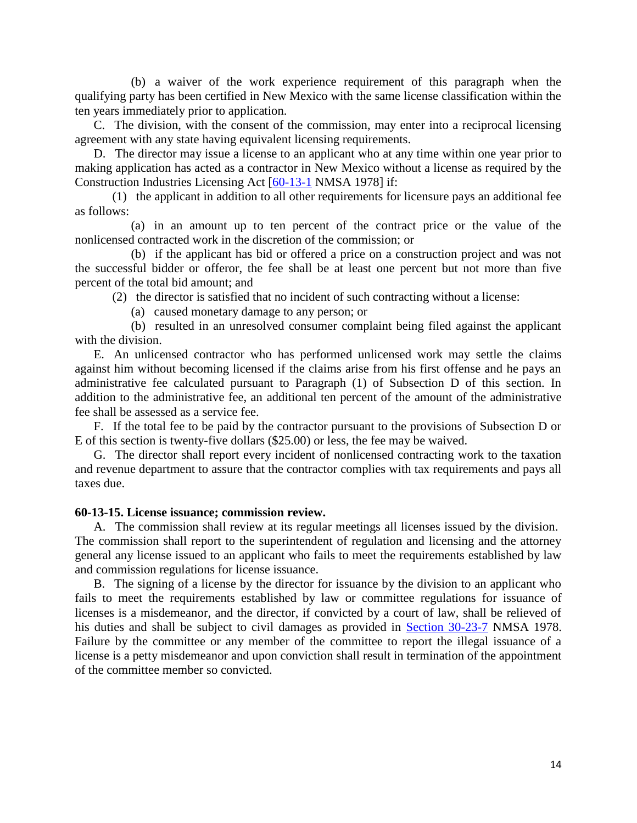(b) a waiver of the work experience requirement of this paragraph when the qualifying party has been certified in New Mexico with the same license classification within the ten years immediately prior to application.

C. The division, with the consent of the commission, may enter into a reciprocal licensing agreement with any state having equivalent licensing requirements.

D. The director may issue a license to an applicant who at any time within one year prior to making application has acted as a contractor in New Mexico without a license as required by the Construction Industries Licensing Act [\[60-13-1](http://www.nmonesource.com/nmpublic/gateway.dll?f=jumplink$jumplink_x=Advanced$jumplink_vpc=first$jumplink_xsl=querylink.xsl$jumplink_sel=title;path;content-type;home-title;item-bookmark$jumplink_d=%7bnmsu%7d$jumplink_q=%5bfield%20folio-destination-name:) NMSA 1978] if:

(1) the applicant in addition to all other requirements for licensure pays an additional fee as follows:

(a) in an amount up to ten percent of the contract price or the value of the nonlicensed contracted work in the discretion of the commission; or

(b) if the applicant has bid or offered a price on a construction project and was not the successful bidder or offeror, the fee shall be at least one percent but not more than five percent of the total bid amount; and

(2) the director is satisfied that no incident of such contracting without a license:

(a) caused monetary damage to any person; or

(b) resulted in an unresolved consumer complaint being filed against the applicant with the division.

E. An unlicensed contractor who has performed unlicensed work may settle the claims against him without becoming licensed if the claims arise from his first offense and he pays an administrative fee calculated pursuant to Paragraph (1) of Subsection D of this section. In addition to the administrative fee, an additional ten percent of the amount of the administrative fee shall be assessed as a service fee.

F. If the total fee to be paid by the contractor pursuant to the provisions of Subsection D or E of this section is twenty-five dollars (\$25.00) or less, the fee may be waived.

G. The director shall report every incident of nonlicensed contracting work to the taxation and revenue department to assure that the contractor complies with tax requirements and pays all taxes due.

### **60-13-15. License issuance; commission review.**

A. The commission shall review at its regular meetings all licenses issued by the division. The commission shall report to the superintendent of regulation and licensing and the attorney general any license issued to an applicant who fails to meet the requirements established by law and commission regulations for license issuance.

B. The signing of a license by the director for issuance by the division to an applicant who fails to meet the requirements established by law or committee regulations for issuance of licenses is a misdemeanor, and the director, if convicted by a court of law, shall be relieved of his duties and shall be subject to civil damages as provided in [Section 30-23-7](http://www.nmonesource.com/nmpublic/gateway.dll?f=jumplink$jumplink_x=Advanced$jumplink_vpc=first$jumplink_xsl=querylink.xsl$jumplink_sel=title;path;content-type;home-title;item-bookmark$jumplink_d=%7bnmsu%7d$jumplink_q=%5bfield%20folio-destination-name:) NMSA 1978. Failure by the committee or any member of the committee to report the illegal issuance of a license is a petty misdemeanor and upon conviction shall result in termination of the appointment of the committee member so convicted.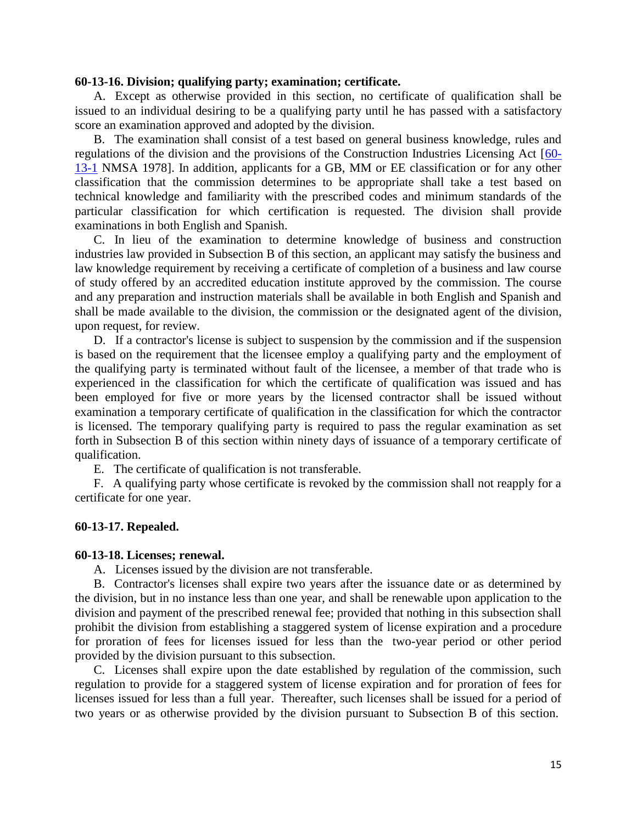#### **60-13-16. Division; qualifying party; examination; certificate.**

A. Except as otherwise provided in this section, no certificate of qualification shall be issued to an individual desiring to be a qualifying party until he has passed with a satisfactory score an examination approved and adopted by the division.

B. The examination shall consist of a test based on general business knowledge, rules and regulations of the division and the provisions of the Construction Industries Licensing Act [\[60-](http://www.nmonesource.com/nmpublic/gateway.dll?f=jumplink$jumplink_x=Advanced$jumplink_vpc=first$jumplink_xsl=querylink.xsl$jumplink_sel=title;path;content-type;home-title;item-bookmark$jumplink_d=%7bnmsu%7d$jumplink_q=%5bfield%20folio-destination-name:) [13-1](http://www.nmonesource.com/nmpublic/gateway.dll?f=jumplink$jumplink_x=Advanced$jumplink_vpc=first$jumplink_xsl=querylink.xsl$jumplink_sel=title;path;content-type;home-title;item-bookmark$jumplink_d=%7bnmsu%7d$jumplink_q=%5bfield%20folio-destination-name:) NMSA 1978]. In addition, applicants for a GB, MM or EE classification or for any other classification that the commission determines to be appropriate shall take a test based on technical knowledge and familiarity with the prescribed codes and minimum standards of the particular classification for which certification is requested. The division shall provide examinations in both English and Spanish.

C. In lieu of the examination to determine knowledge of business and construction industries law provided in Subsection B of this section, an applicant may satisfy the business and law knowledge requirement by receiving a certificate of completion of a business and law course of study offered by an accredited education institute approved by the commission. The course and any preparation and instruction materials shall be available in both English and Spanish and shall be made available to the division, the commission or the designated agent of the division, upon request, for review.

D. If a contractor's license is subject to suspension by the commission and if the suspension is based on the requirement that the licensee employ a qualifying party and the employment of the qualifying party is terminated without fault of the licensee, a member of that trade who is experienced in the classification for which the certificate of qualification was issued and has been employed for five or more years by the licensed contractor shall be issued without examination a temporary certificate of qualification in the classification for which the contractor is licensed. The temporary qualifying party is required to pass the regular examination as set forth in Subsection B of this section within ninety days of issuance of a temporary certificate of qualification.

E. The certificate of qualification is not transferable.

F. A qualifying party whose certificate is revoked by the commission shall not reapply for a certificate for one year.

#### **60-13-17. Repealed.**

#### **60-13-18. Licenses; renewal.**

A. Licenses issued by the division are not transferable.

B. Contractor's licenses shall expire two years after the issuance date or as determined by the division, but in no instance less than one year, and shall be renewable upon application to the division and payment of the prescribed renewal fee; provided that nothing in this subsection shall prohibit the division from establishing a staggered system of license expiration and a procedure for proration of fees for licenses issued for less than the two-year period or other period provided by the division pursuant to this subsection.

C. Licenses shall expire upon the date established by regulation of the commission, such regulation to provide for a staggered system of license expiration and for proration of fees for licenses issued for less than a full year. Thereafter, such licenses shall be issued for a period of two years or as otherwise provided by the division pursuant to Subsection B of this section.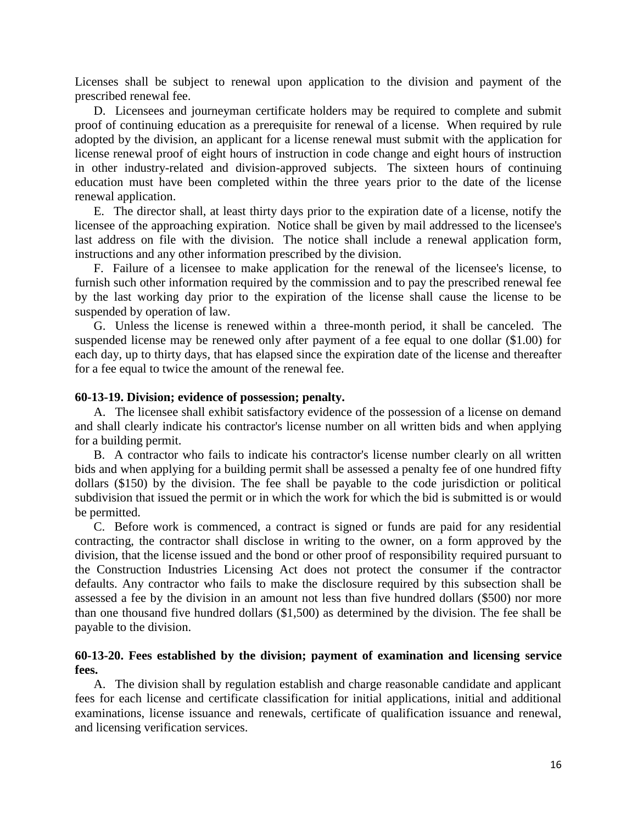Licenses shall be subject to renewal upon application to the division and payment of the prescribed renewal fee.

D. Licensees and journeyman certificate holders may be required to complete and submit proof of continuing education as a prerequisite for renewal of a license. When required by rule adopted by the division, an applicant for a license renewal must submit with the application for license renewal proof of eight hours of instruction in code change and eight hours of instruction in other industry-related and division-approved subjects. The sixteen hours of continuing education must have been completed within the three years prior to the date of the license renewal application.

E. The director shall, at least thirty days prior to the expiration date of a license, notify the licensee of the approaching expiration. Notice shall be given by mail addressed to the licensee's last address on file with the division. The notice shall include a renewal application form, instructions and any other information prescribed by the division.

F. Failure of a licensee to make application for the renewal of the licensee's license, to furnish such other information required by the commission and to pay the prescribed renewal fee by the last working day prior to the expiration of the license shall cause the license to be suspended by operation of law.

G. Unless the license is renewed within a three-month period, it shall be canceled. The suspended license may be renewed only after payment of a fee equal to one dollar (\$1.00) for each day, up to thirty days, that has elapsed since the expiration date of the license and thereafter for a fee equal to twice the amount of the renewal fee.

#### **60-13-19. Division; evidence of possession; penalty.**

A. The licensee shall exhibit satisfactory evidence of the possession of a license on demand and shall clearly indicate his contractor's license number on all written bids and when applying for a building permit.

B. A contractor who fails to indicate his contractor's license number clearly on all written bids and when applying for a building permit shall be assessed a penalty fee of one hundred fifty dollars (\$150) by the division. The fee shall be payable to the code jurisdiction or political subdivision that issued the permit or in which the work for which the bid is submitted is or would be permitted.

C. Before work is commenced, a contract is signed or funds are paid for any residential contracting, the contractor shall disclose in writing to the owner, on a form approved by the division, that the license issued and the bond or other proof of responsibility required pursuant to the Construction Industries Licensing Act does not protect the consumer if the contractor defaults. Any contractor who fails to make the disclosure required by this subsection shall be assessed a fee by the division in an amount not less than five hundred dollars (\$500) nor more than one thousand five hundred dollars (\$1,500) as determined by the division. The fee shall be payable to the division.

### **60-13-20. Fees established by the division; payment of examination and licensing service fees.**

A. The division shall by regulation establish and charge reasonable candidate and applicant fees for each license and certificate classification for initial applications, initial and additional examinations, license issuance and renewals, certificate of qualification issuance and renewal, and licensing verification services.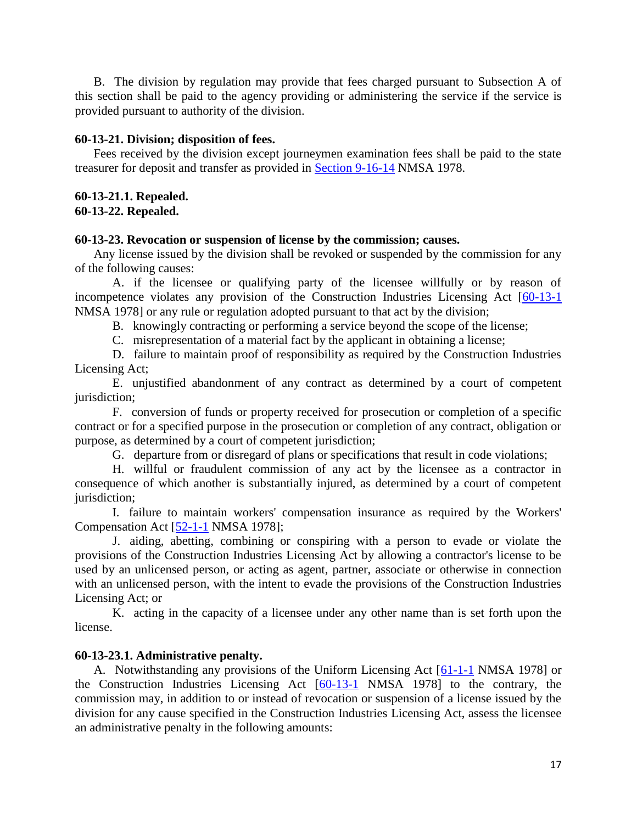B. The division by regulation may provide that fees charged pursuant to Subsection A of this section shall be paid to the agency providing or administering the service if the service is provided pursuant to authority of the division.

### **60-13-21. Division; disposition of fees.**

Fees received by the division except journeymen examination fees shall be paid to the state treasurer for deposit and transfer as provided in [Section 9-16-14](http://www.nmonesource.com/nmpublic/gateway.dll?f=jumplink$jumplink_x=Advanced$jumplink_vpc=first$jumplink_xsl=querylink.xsl$jumplink_sel=title;path;content-type;home-title;item-bookmark$jumplink_d=%7bnmsu%7d$jumplink_q=%5bfield%20folio-destination-name:) NMSA 1978.

# **60-13-21.1. Repealed.**

### **60-13-22. Repealed.**

### **60-13-23. Revocation or suspension of license by the commission; causes.**

Any license issued by the division shall be revoked or suspended by the commission for any of the following causes:

A. if the licensee or qualifying party of the licensee willfully or by reason of incompetence violates any provision of the Construction Industries Licensing Act [\[60-13-1](http://www.nmonesource.com/nmpublic/gateway.dll?f=jumplink$jumplink_x=Advanced$jumplink_vpc=first$jumplink_xsl=querylink.xsl$jumplink_sel=title;path;content-type;home-title;item-bookmark$jumplink_d=%7bnmsu%7d$jumplink_q=%5bfield%20folio-destination-name:) NMSA 1978] or any rule or regulation adopted pursuant to that act by the division;

B. knowingly contracting or performing a service beyond the scope of the license;

C. misrepresentation of a material fact by the applicant in obtaining a license;

D. failure to maintain proof of responsibility as required by the Construction Industries Licensing Act;

E. unjustified abandonment of any contract as determined by a court of competent jurisdiction;

F. conversion of funds or property received for prosecution or completion of a specific contract or for a specified purpose in the prosecution or completion of any contract, obligation or purpose, as determined by a court of competent jurisdiction;

G. departure from or disregard of plans or specifications that result in code violations;

H. willful or fraudulent commission of any act by the licensee as a contractor in consequence of which another is substantially injured, as determined by a court of competent jurisdiction;

I. failure to maintain workers' compensation insurance as required by the Workers' Compensation Act [\[52-1-1](http://www.nmonesource.com/nmpublic/gateway.dll?f=jumplink$jumplink_x=Advanced$jumplink_vpc=first$jumplink_xsl=querylink.xsl$jumplink_sel=title;path;content-type;home-title;item-bookmark$jumplink_d=%7bnmsu%7d$jumplink_q=%5bfield%20folio-destination-name:) NMSA 1978];

J. aiding, abetting, combining or conspiring with a person to evade or violate the provisions of the Construction Industries Licensing Act by allowing a contractor's license to be used by an unlicensed person, or acting as agent, partner, associate or otherwise in connection with an unlicensed person, with the intent to evade the provisions of the Construction Industries Licensing Act; or

K. acting in the capacity of a licensee under any other name than is set forth upon the license.

# **60-13-23.1. Administrative penalty.**

A. Notwithstanding any provisions of the Uniform Licensing Act [\[61-1-1](http://www.nmonesource.com/nmpublic/gateway.dll?f=jumplink$jumplink_x=Advanced$jumplink_vpc=first$jumplink_xsl=querylink.xsl$jumplink_sel=title;path;content-type;home-title;item-bookmark$jumplink_d=%7bnmsu%7d$jumplink_q=%5bfield%20folio-destination-name:) NMSA 1978] or the Construction Industries Licensing Act [\[60-13-1](http://www.nmonesource.com/nmpublic/gateway.dll?f=jumplink$jumplink_x=Advanced$jumplink_vpc=first$jumplink_xsl=querylink.xsl$jumplink_sel=title;path;content-type;home-title;item-bookmark$jumplink_d=%7bnmsu%7d$jumplink_q=%5bfield%20folio-destination-name:) NMSA 1978] to the contrary, the commission may, in addition to or instead of revocation or suspension of a license issued by the division for any cause specified in the Construction Industries Licensing Act, assess the licensee an administrative penalty in the following amounts: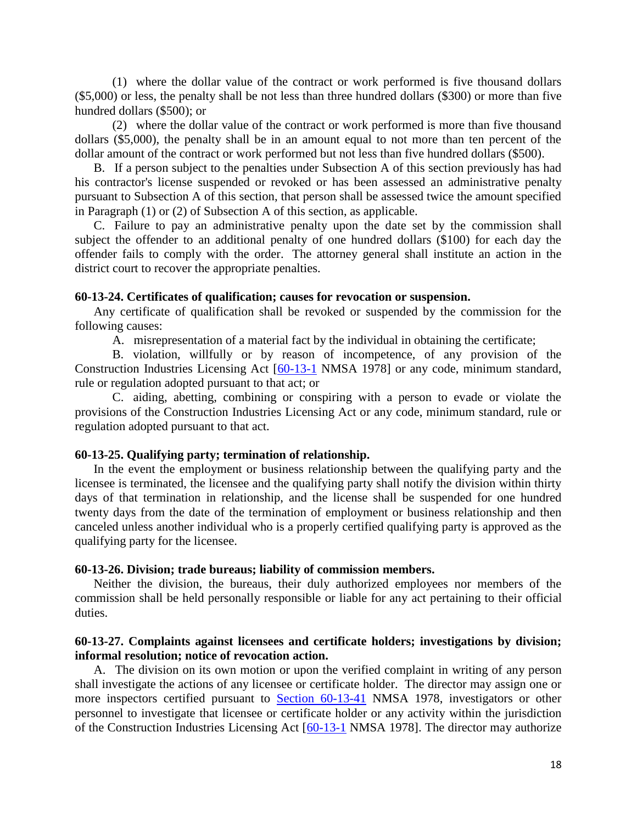(1) where the dollar value of the contract or work performed is five thousand dollars (\$5,000) or less, the penalty shall be not less than three hundred dollars (\$300) or more than five hundred dollars (\$500); or

(2) where the dollar value of the contract or work performed is more than five thousand dollars (\$5,000), the penalty shall be in an amount equal to not more than ten percent of the dollar amount of the contract or work performed but not less than five hundred dollars (\$500).

B. If a person subject to the penalties under Subsection A of this section previously has had his contractor's license suspended or revoked or has been assessed an administrative penalty pursuant to Subsection A of this section, that person shall be assessed twice the amount specified in Paragraph (1) or (2) of Subsection A of this section, as applicable.

C. Failure to pay an administrative penalty upon the date set by the commission shall subject the offender to an additional penalty of one hundred dollars (\$100) for each day the offender fails to comply with the order. The attorney general shall institute an action in the district court to recover the appropriate penalties.

#### **60-13-24. Certificates of qualification; causes for revocation or suspension.**

Any certificate of qualification shall be revoked or suspended by the commission for the following causes:

A. misrepresentation of a material fact by the individual in obtaining the certificate;

B. violation, willfully or by reason of incompetence, of any provision of the Construction Industries Licensing Act [\[60-13-1](http://www.nmonesource.com/nmpublic/gateway.dll?f=jumplink$jumplink_x=Advanced$jumplink_vpc=first$jumplink_xsl=querylink.xsl$jumplink_sel=title;path;content-type;home-title;item-bookmark$jumplink_d=%7bnmsu%7d$jumplink_q=%5bfield%20folio-destination-name:) NMSA 1978] or any code, minimum standard, rule or regulation adopted pursuant to that act; or

C. aiding, abetting, combining or conspiring with a person to evade or violate the provisions of the Construction Industries Licensing Act or any code, minimum standard, rule or regulation adopted pursuant to that act.

#### **60-13-25. Qualifying party; termination of relationship.**

In the event the employment or business relationship between the qualifying party and the licensee is terminated, the licensee and the qualifying party shall notify the division within thirty days of that termination in relationship, and the license shall be suspended for one hundred twenty days from the date of the termination of employment or business relationship and then canceled unless another individual who is a properly certified qualifying party is approved as the qualifying party for the licensee.

#### **60-13-26. Division; trade bureaus; liability of commission members.**

Neither the division, the bureaus, their duly authorized employees nor members of the commission shall be held personally responsible or liable for any act pertaining to their official duties.

# **60-13-27. Complaints against licensees and certificate holders; investigations by division; informal resolution; notice of revocation action.**

A. The division on its own motion or upon the verified complaint in writing of any person shall investigate the actions of any licensee or certificate holder. The director may assign one or more inspectors certified pursuant to [Section 60-13-41](http://www.nmonesource.com/nmpublic/gateway.dll?f=jumplink$jumplink_x=Advanced$jumplink_vpc=first$jumplink_xsl=querylink.xsl$jumplink_sel=title;path;content-type;home-title;item-bookmark$jumplink_d=%7bnmsu%7d$jumplink_q=%5bfield%20folio-destination-name:) NMSA 1978, investigators or other personnel to investigate that licensee or certificate holder or any activity within the jurisdiction of the Construction Industries Licensing Act [\[60-13-1](http://www.nmonesource.com/nmpublic/gateway.dll?f=jumplink$jumplink_x=Advanced$jumplink_vpc=first$jumplink_xsl=querylink.xsl$jumplink_sel=title;path;content-type;home-title;item-bookmark$jumplink_d=%7bnmsu%7d$jumplink_q=%5bfield%20folio-destination-name:) NMSA 1978]. The director may authorize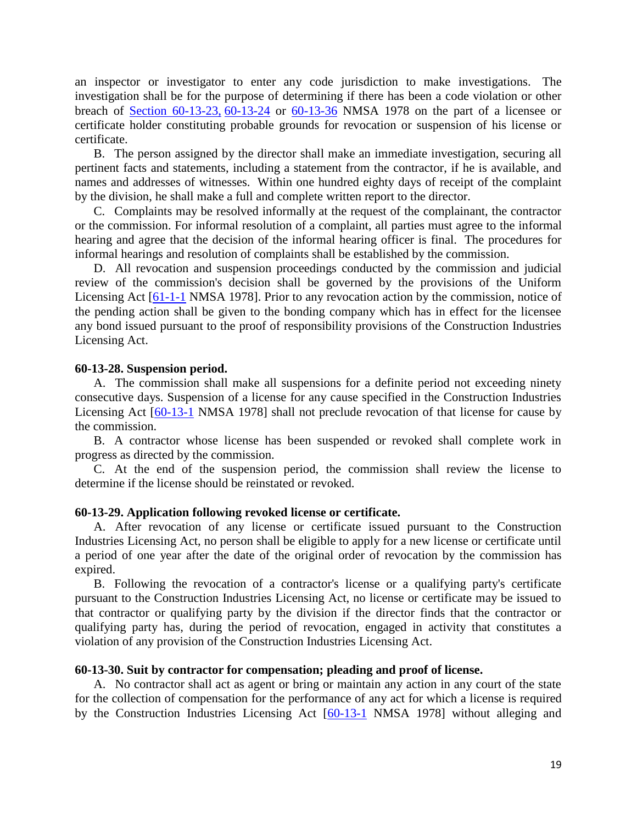an inspector or investigator to enter any code jurisdiction to make investigations. The investigation shall be for the purpose of determining if there has been a code violation or other breach of [Section 60-13-23,](http://www.nmonesource.com/nmpublic/gateway.dll?f=jumplink$jumplink_x=Advanced$jumplink_vpc=first$jumplink_xsl=querylink.xsl$jumplink_sel=title;path;content-type;home-title;item-bookmark$jumplink_d=%7bnmsu%7d$jumplink_q=%5bfield%20folio-destination-name:) [60-13-24](http://www.nmonesource.com/nmpublic/gateway.dll?f=jumplink$jumplink_x=Advanced$jumplink_vpc=first$jumplink_xsl=querylink.xsl$jumplink_sel=title;path;content-type;home-title;item-bookmark$jumplink_d=%7bnmsu%7d$jumplink_q=%5bfield%20folio-destination-name:) or [60-13-36](http://www.nmonesource.com/nmpublic/gateway.dll?f=jumplink$jumplink_x=Advanced$jumplink_vpc=first$jumplink_xsl=querylink.xsl$jumplink_sel=title;path;content-type;home-title;item-bookmark$jumplink_d=%7bnmsu%7d$jumplink_q=%5bfield%20folio-destination-name:) NMSA 1978 on the part of a licensee or certificate holder constituting probable grounds for revocation or suspension of his license or certificate.

B. The person assigned by the director shall make an immediate investigation, securing all pertinent facts and statements, including a statement from the contractor, if he is available, and names and addresses of witnesses. Within one hundred eighty days of receipt of the complaint by the division, he shall make a full and complete written report to the director.

C. Complaints may be resolved informally at the request of the complainant, the contractor or the commission. For informal resolution of a complaint, all parties must agree to the informal hearing and agree that the decision of the informal hearing officer is final. The procedures for informal hearings and resolution of complaints shall be established by the commission.

D. All revocation and suspension proceedings conducted by the commission and judicial review of the commission's decision shall be governed by the provisions of the Uniform Licensing Act [\[61-1-1](http://www.nmonesource.com/nmpublic/gateway.dll?f=jumplink$jumplink_x=Advanced$jumplink_vpc=first$jumplink_xsl=querylink.xsl$jumplink_sel=title;path;content-type;home-title;item-bookmark$jumplink_d=%7bnmsu%7d$jumplink_q=%5bfield%20folio-destination-name:) NMSA 1978]. Prior to any revocation action by the commission, notice of the pending action shall be given to the bonding company which has in effect for the licensee any bond issued pursuant to the proof of responsibility provisions of the Construction Industries Licensing Act.

#### **60-13-28. Suspension period.**

A. The commission shall make all suspensions for a definite period not exceeding ninety consecutive days. Suspension of a license for any cause specified in the Construction Industries Licensing Act [\[60-13-1](http://www.nmonesource.com/nmpublic/gateway.dll?f=jumplink$jumplink_x=Advanced$jumplink_vpc=first$jumplink_xsl=querylink.xsl$jumplink_sel=title;path;content-type;home-title;item-bookmark$jumplink_d=%7bnmsu%7d$jumplink_q=%5bfield%20folio-destination-name:) NMSA 1978] shall not preclude revocation of that license for cause by the commission.

B. A contractor whose license has been suspended or revoked shall complete work in progress as directed by the commission.

C. At the end of the suspension period, the commission shall review the license to determine if the license should be reinstated or revoked.

### **60-13-29. Application following revoked license or certificate.**

A. After revocation of any license or certificate issued pursuant to the Construction Industries Licensing Act, no person shall be eligible to apply for a new license or certificate until a period of one year after the date of the original order of revocation by the commission has expired.

B. Following the revocation of a contractor's license or a qualifying party's certificate pursuant to the Construction Industries Licensing Act, no license or certificate may be issued to that contractor or qualifying party by the division if the director finds that the contractor or qualifying party has, during the period of revocation, engaged in activity that constitutes a violation of any provision of the Construction Industries Licensing Act.

#### **60-13-30. Suit by contractor for compensation; pleading and proof of license.**

A. No contractor shall act as agent or bring or maintain any action in any court of the state for the collection of compensation for the performance of any act for which a license is required by the Construction Industries Licensing Act [\[60-13-1](http://www.nmonesource.com/nmpublic/gateway.dll?f=jumplink$jumplink_x=Advanced$jumplink_vpc=first$jumplink_xsl=querylink.xsl$jumplink_sel=title;path;content-type;home-title;item-bookmark$jumplink_d=%7bnmsu%7d$jumplink_q=%5bfield%20folio-destination-name:) NMSA 1978] without alleging and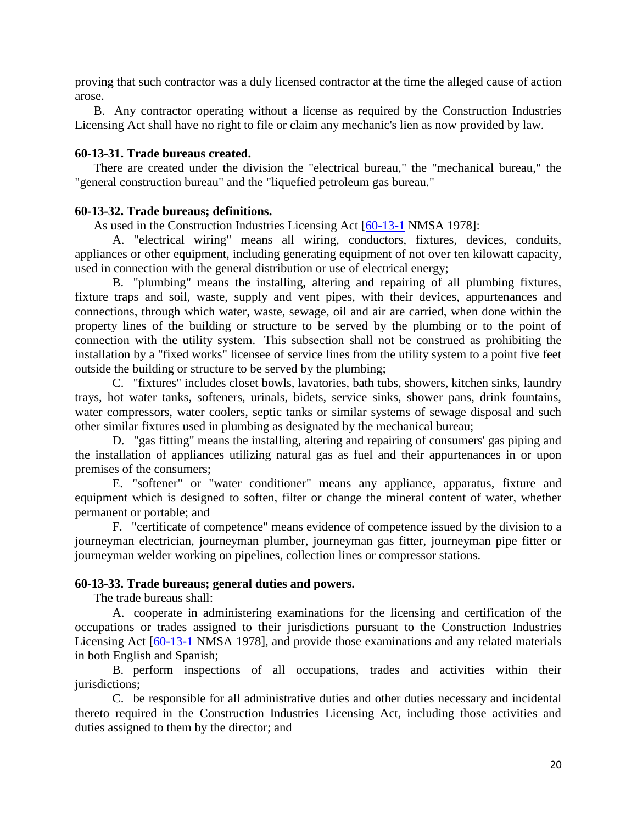proving that such contractor was a duly licensed contractor at the time the alleged cause of action arose.

B. Any contractor operating without a license as required by the Construction Industries Licensing Act shall have no right to file or claim any mechanic's lien as now provided by law.

# **60-13-31. Trade bureaus created.**

There are created under the division the "electrical bureau," the "mechanical bureau," the "general construction bureau" and the "liquefied petroleum gas bureau."

### **60-13-32. Trade bureaus; definitions.**

As used in the Construction Industries Licensing Act [\[60-13-1](http://www.nmonesource.com/nmpublic/gateway.dll?f=jumplink$jumplink_x=Advanced$jumplink_vpc=first$jumplink_xsl=querylink.xsl$jumplink_sel=title;path;content-type;home-title;item-bookmark$jumplink_d=%7bnmsu%7d$jumplink_q=%5bfield%20folio-destination-name:) NMSA 1978]:

A. "electrical wiring" means all wiring, conductors, fixtures, devices, conduits, appliances or other equipment, including generating equipment of not over ten kilowatt capacity, used in connection with the general distribution or use of electrical energy;

B. "plumbing" means the installing, altering and repairing of all plumbing fixtures, fixture traps and soil, waste, supply and vent pipes, with their devices, appurtenances and connections, through which water, waste, sewage, oil and air are carried, when done within the property lines of the building or structure to be served by the plumbing or to the point of connection with the utility system. This subsection shall not be construed as prohibiting the installation by a "fixed works" licensee of service lines from the utility system to a point five feet outside the building or structure to be served by the plumbing;

C. "fixtures" includes closet bowls, lavatories, bath tubs, showers, kitchen sinks, laundry trays, hot water tanks, softeners, urinals, bidets, service sinks, shower pans, drink fountains, water compressors, water coolers, septic tanks or similar systems of sewage disposal and such other similar fixtures used in plumbing as designated by the mechanical bureau;

D. "gas fitting" means the installing, altering and repairing of consumers' gas piping and the installation of appliances utilizing natural gas as fuel and their appurtenances in or upon premises of the consumers;

E. "softener" or "water conditioner" means any appliance, apparatus, fixture and equipment which is designed to soften, filter or change the mineral content of water, whether permanent or portable; and

F. "certificate of competence" means evidence of competence issued by the division to a journeyman electrician, journeyman plumber, journeyman gas fitter, journeyman pipe fitter or journeyman welder working on pipelines, collection lines or compressor stations.

# **60-13-33. Trade bureaus; general duties and powers.**

The trade bureaus shall:

A. cooperate in administering examinations for the licensing and certification of the occupations or trades assigned to their jurisdictions pursuant to the Construction Industries Licensing Act [\[60-13-1](http://www.nmonesource.com/nmpublic/gateway.dll?f=jumplink$jumplink_x=Advanced$jumplink_vpc=first$jumplink_xsl=querylink.xsl$jumplink_sel=title;path;content-type;home-title;item-bookmark$jumplink_d=%7bnmsu%7d$jumplink_q=%5bfield%20folio-destination-name:) NMSA 1978], and provide those examinations and any related materials in both English and Spanish;

B. perform inspections of all occupations, trades and activities within their jurisdictions;

C. be responsible for all administrative duties and other duties necessary and incidental thereto required in the Construction Industries Licensing Act, including those activities and duties assigned to them by the director; and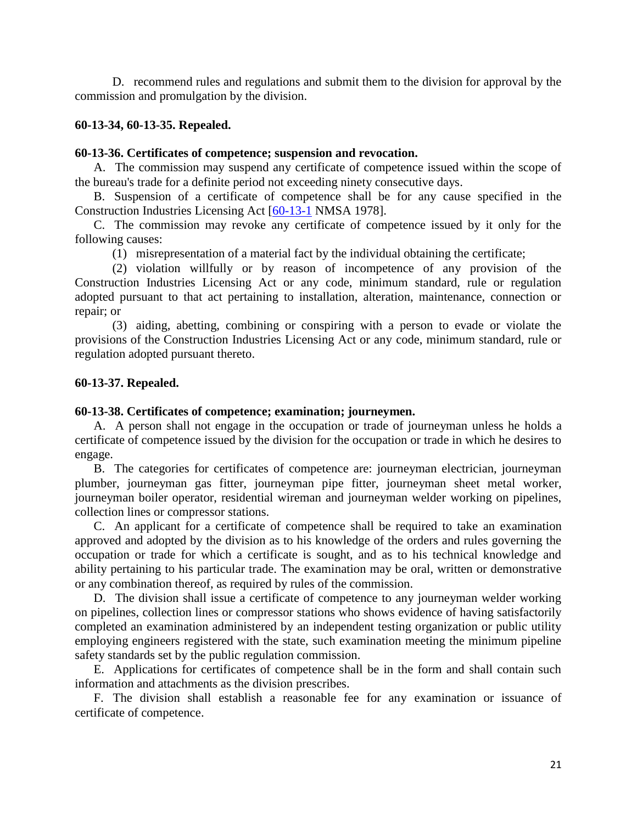D. recommend rules and regulations and submit them to the division for approval by the commission and promulgation by the division.

# **60-13-34, 60-13-35. Repealed.**

### **60-13-36. Certificates of competence; suspension and revocation.**

A. The commission may suspend any certificate of competence issued within the scope of the bureau's trade for a definite period not exceeding ninety consecutive days.

B. Suspension of a certificate of competence shall be for any cause specified in the Construction Industries Licensing Act [\[60-13-1](http://www.nmonesource.com/nmpublic/gateway.dll?f=jumplink$jumplink_x=Advanced$jumplink_vpc=first$jumplink_xsl=querylink.xsl$jumplink_sel=title;path;content-type;home-title;item-bookmark$jumplink_d=%7bnmsu%7d$jumplink_q=%5bfield%20folio-destination-name:) NMSA 1978].

C. The commission may revoke any certificate of competence issued by it only for the following causes:

(1) misrepresentation of a material fact by the individual obtaining the certificate;

(2) violation willfully or by reason of incompetence of any provision of the Construction Industries Licensing Act or any code, minimum standard, rule or regulation adopted pursuant to that act pertaining to installation, alteration, maintenance, connection or repair; or

(3) aiding, abetting, combining or conspiring with a person to evade or violate the provisions of the Construction Industries Licensing Act or any code, minimum standard, rule or regulation adopted pursuant thereto.

# **60-13-37. Repealed.**

# **60-13-38. Certificates of competence; examination; journeymen.**

A. A person shall not engage in the occupation or trade of journeyman unless he holds a certificate of competence issued by the division for the occupation or trade in which he desires to engage.

B. The categories for certificates of competence are: journeyman electrician, journeyman plumber, journeyman gas fitter, journeyman pipe fitter, journeyman sheet metal worker, journeyman boiler operator, residential wireman and journeyman welder working on pipelines, collection lines or compressor stations.

C. An applicant for a certificate of competence shall be required to take an examination approved and adopted by the division as to his knowledge of the orders and rules governing the occupation or trade for which a certificate is sought, and as to his technical knowledge and ability pertaining to his particular trade. The examination may be oral, written or demonstrative or any combination thereof, as required by rules of the commission.

D. The division shall issue a certificate of competence to any journeyman welder working on pipelines, collection lines or compressor stations who shows evidence of having satisfactorily completed an examination administered by an independent testing organization or public utility employing engineers registered with the state, such examination meeting the minimum pipeline safety standards set by the public regulation commission.

E. Applications for certificates of competence shall be in the form and shall contain such information and attachments as the division prescribes.

F. The division shall establish a reasonable fee for any examination or issuance of certificate of competence.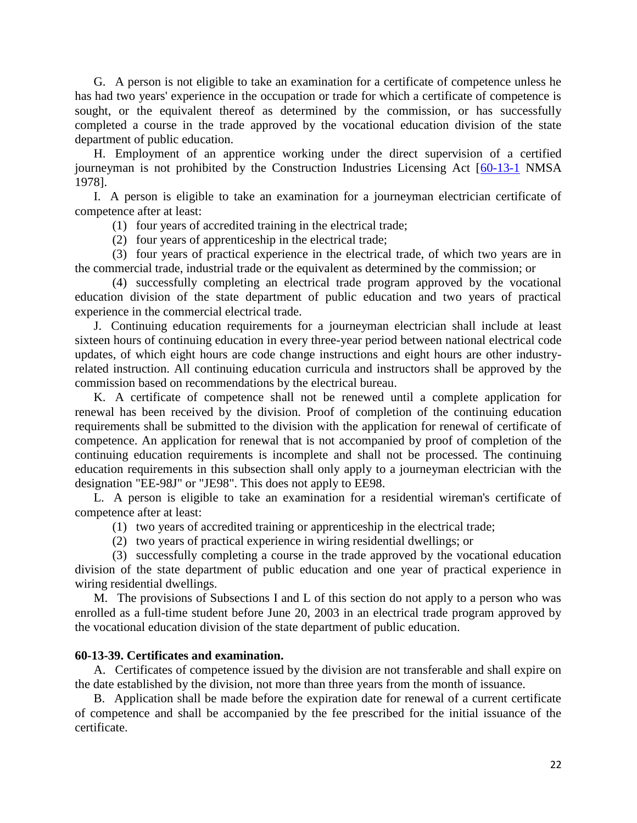G. A person is not eligible to take an examination for a certificate of competence unless he has had two years' experience in the occupation or trade for which a certificate of competence is sought, or the equivalent thereof as determined by the commission, or has successfully completed a course in the trade approved by the vocational education division of the state department of public education.

H. Employment of an apprentice working under the direct supervision of a certified journeyman is not prohibited by the Construction Industries Licensing Act [\[60-13-1](http://www.nmonesource.com/nmpublic/gateway.dll?f=jumplink$jumplink_x=Advanced$jumplink_vpc=first$jumplink_xsl=querylink.xsl$jumplink_sel=title;path;content-type;home-title;item-bookmark$jumplink_d=%7bnmsu%7d$jumplink_q=%5bfield%20folio-destination-name:) NMSA 1978].

I. A person is eligible to take an examination for a journeyman electrician certificate of competence after at least:

(1) four years of accredited training in the electrical trade;

(2) four years of apprenticeship in the electrical trade;

(3) four years of practical experience in the electrical trade, of which two years are in the commercial trade, industrial trade or the equivalent as determined by the commission; or

(4) successfully completing an electrical trade program approved by the vocational education division of the state department of public education and two years of practical experience in the commercial electrical trade.

J. Continuing education requirements for a journeyman electrician shall include at least sixteen hours of continuing education in every three-year period between national electrical code updates, of which eight hours are code change instructions and eight hours are other industryrelated instruction. All continuing education curricula and instructors shall be approved by the commission based on recommendations by the electrical bureau.

K. A certificate of competence shall not be renewed until a complete application for renewal has been received by the division. Proof of completion of the continuing education requirements shall be submitted to the division with the application for renewal of certificate of competence. An application for renewal that is not accompanied by proof of completion of the continuing education requirements is incomplete and shall not be processed. The continuing education requirements in this subsection shall only apply to a journeyman electrician with the designation "EE-98J" or "JE98". This does not apply to EE98.

L. A person is eligible to take an examination for a residential wireman's certificate of competence after at least:

- (1) two years of accredited training or apprenticeship in the electrical trade;
- (2) two years of practical experience in wiring residential dwellings; or

(3) successfully completing a course in the trade approved by the vocational education division of the state department of public education and one year of practical experience in wiring residential dwellings.

M. The provisions of Subsections I and L of this section do not apply to a person who was enrolled as a full-time student before June 20, 2003 in an electrical trade program approved by the vocational education division of the state department of public education.

### **60-13-39. Certificates and examination.**

A. Certificates of competence issued by the division are not transferable and shall expire on the date established by the division, not more than three years from the month of issuance.

B. Application shall be made before the expiration date for renewal of a current certificate of competence and shall be accompanied by the fee prescribed for the initial issuance of the certificate.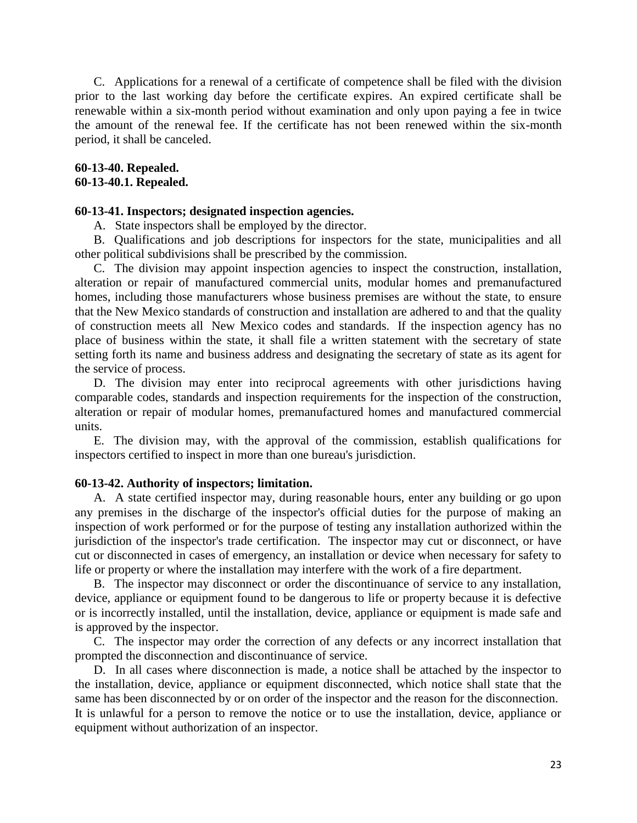C. Applications for a renewal of a certificate of competence shall be filed with the division prior to the last working day before the certificate expires. An expired certificate shall be renewable within a six-month period without examination and only upon paying a fee in twice the amount of the renewal fee. If the certificate has not been renewed within the six-month period, it shall be canceled.

### **60-13-40. Repealed. 60-13-40.1. Repealed.**

### **60-13-41. Inspectors; designated inspection agencies.**

A. State inspectors shall be employed by the director.

B. Qualifications and job descriptions for inspectors for the state, municipalities and all other political subdivisions shall be prescribed by the commission.

C. The division may appoint inspection agencies to inspect the construction, installation, alteration or repair of manufactured commercial units, modular homes and premanufactured homes, including those manufacturers whose business premises are without the state, to ensure that the New Mexico standards of construction and installation are adhered to and that the quality of construction meets all New Mexico codes and standards. If the inspection agency has no place of business within the state, it shall file a written statement with the secretary of state setting forth its name and business address and designating the secretary of state as its agent for the service of process.

D. The division may enter into reciprocal agreements with other jurisdictions having comparable codes, standards and inspection requirements for the inspection of the construction, alteration or repair of modular homes, premanufactured homes and manufactured commercial units.

E. The division may, with the approval of the commission, establish qualifications for inspectors certified to inspect in more than one bureau's jurisdiction.

#### **60-13-42. Authority of inspectors; limitation.**

A. A state certified inspector may, during reasonable hours, enter any building or go upon any premises in the discharge of the inspector's official duties for the purpose of making an inspection of work performed or for the purpose of testing any installation authorized within the jurisdiction of the inspector's trade certification. The inspector may cut or disconnect, or have cut or disconnected in cases of emergency, an installation or device when necessary for safety to life or property or where the installation may interfere with the work of a fire department.

B. The inspector may disconnect or order the discontinuance of service to any installation, device, appliance or equipment found to be dangerous to life or property because it is defective or is incorrectly installed, until the installation, device, appliance or equipment is made safe and is approved by the inspector.

C. The inspector may order the correction of any defects or any incorrect installation that prompted the disconnection and discontinuance of service.

D. In all cases where disconnection is made, a notice shall be attached by the inspector to the installation, device, appliance or equipment disconnected, which notice shall state that the same has been disconnected by or on order of the inspector and the reason for the disconnection. It is unlawful for a person to remove the notice or to use the installation, device, appliance or equipment without authorization of an inspector.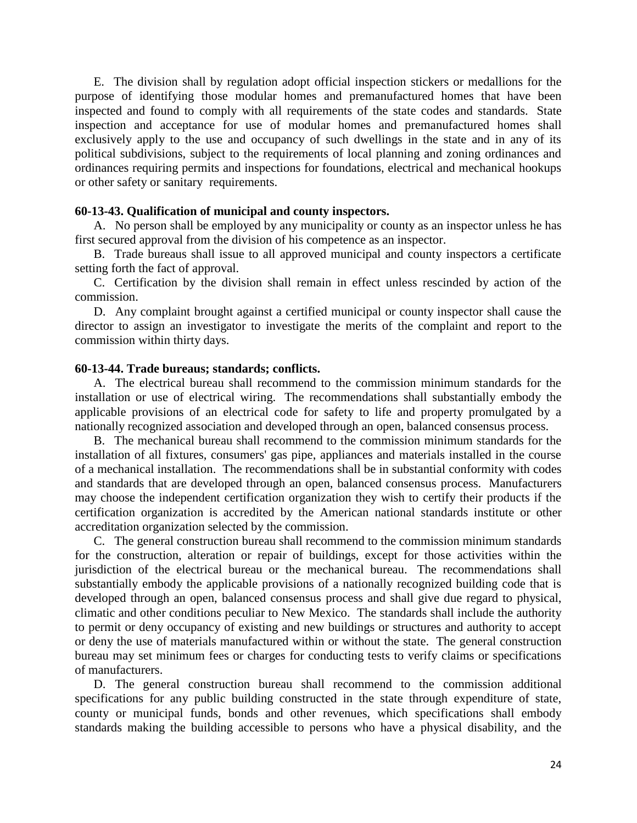E. The division shall by regulation adopt official inspection stickers or medallions for the purpose of identifying those modular homes and premanufactured homes that have been inspected and found to comply with all requirements of the state codes and standards. State inspection and acceptance for use of modular homes and premanufactured homes shall exclusively apply to the use and occupancy of such dwellings in the state and in any of its political subdivisions, subject to the requirements of local planning and zoning ordinances and ordinances requiring permits and inspections for foundations, electrical and mechanical hookups or other safety or sanitary requirements.

### **60-13-43. Qualification of municipal and county inspectors.**

A. No person shall be employed by any municipality or county as an inspector unless he has first secured approval from the division of his competence as an inspector.

B. Trade bureaus shall issue to all approved municipal and county inspectors a certificate setting forth the fact of approval.

C. Certification by the division shall remain in effect unless rescinded by action of the commission.

D. Any complaint brought against a certified municipal or county inspector shall cause the director to assign an investigator to investigate the merits of the complaint and report to the commission within thirty days.

### **60-13-44. Trade bureaus; standards; conflicts.**

A. The electrical bureau shall recommend to the commission minimum standards for the installation or use of electrical wiring. The recommendations shall substantially embody the applicable provisions of an electrical code for safety to life and property promulgated by a nationally recognized association and developed through an open, balanced consensus process.

B. The mechanical bureau shall recommend to the commission minimum standards for the installation of all fixtures, consumers' gas pipe, appliances and materials installed in the course of a mechanical installation. The recommendations shall be in substantial conformity with codes and standards that are developed through an open, balanced consensus process. Manufacturers may choose the independent certification organization they wish to certify their products if the certification organization is accredited by the American national standards institute or other accreditation organization selected by the commission.

C. The general construction bureau shall recommend to the commission minimum standards for the construction, alteration or repair of buildings, except for those activities within the jurisdiction of the electrical bureau or the mechanical bureau. The recommendations shall substantially embody the applicable provisions of a nationally recognized building code that is developed through an open, balanced consensus process and shall give due regard to physical, climatic and other conditions peculiar to New Mexico. The standards shall include the authority to permit or deny occupancy of existing and new buildings or structures and authority to accept or deny the use of materials manufactured within or without the state. The general construction bureau may set minimum fees or charges for conducting tests to verify claims or specifications of manufacturers.

D. The general construction bureau shall recommend to the commission additional specifications for any public building constructed in the state through expenditure of state, county or municipal funds, bonds and other revenues, which specifications shall embody standards making the building accessible to persons who have a physical disability, and the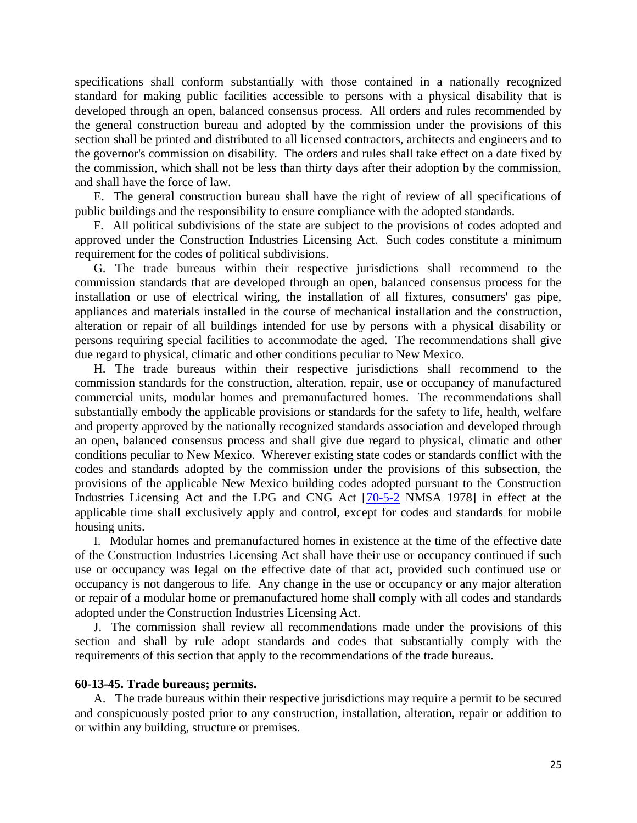specifications shall conform substantially with those contained in a nationally recognized standard for making public facilities accessible to persons with a physical disability that is developed through an open, balanced consensus process. All orders and rules recommended by the general construction bureau and adopted by the commission under the provisions of this section shall be printed and distributed to all licensed contractors, architects and engineers and to the governor's commission on disability. The orders and rules shall take effect on a date fixed by the commission, which shall not be less than thirty days after their adoption by the commission, and shall have the force of law.

E. The general construction bureau shall have the right of review of all specifications of public buildings and the responsibility to ensure compliance with the adopted standards.

F. All political subdivisions of the state are subject to the provisions of codes adopted and approved under the Construction Industries Licensing Act. Such codes constitute a minimum requirement for the codes of political subdivisions.

G. The trade bureaus within their respective jurisdictions shall recommend to the commission standards that are developed through an open, balanced consensus process for the installation or use of electrical wiring, the installation of all fixtures, consumers' gas pipe, appliances and materials installed in the course of mechanical installation and the construction, alteration or repair of all buildings intended for use by persons with a physical disability or persons requiring special facilities to accommodate the aged. The recommendations shall give due regard to physical, climatic and other conditions peculiar to New Mexico.

H. The trade bureaus within their respective jurisdictions shall recommend to the commission standards for the construction, alteration, repair, use or occupancy of manufactured commercial units, modular homes and premanufactured homes. The recommendations shall substantially embody the applicable provisions or standards for the safety to life, health, welfare and property approved by the nationally recognized standards association and developed through an open, balanced consensus process and shall give due regard to physical, climatic and other conditions peculiar to New Mexico. Wherever existing state codes or standards conflict with the codes and standards adopted by the commission under the provisions of this subsection, the provisions of the applicable New Mexico building codes adopted pursuant to the Construction Industries Licensing Act and the LPG and CNG Act [\[70-5-2](http://www.nmonesource.com/nmpublic/gateway.dll?f=jumplink$jumplink_x=Advanced$jumplink_vpc=first$jumplink_xsl=querylink.xsl$jumplink_sel=title;path;content-type;home-title;item-bookmark$jumplink_d=%7bnmsu%7d$jumplink_q=%5bfield%20folio-destination-name:) NMSA 1978] in effect at the applicable time shall exclusively apply and control, except for codes and standards for mobile housing units.

I. Modular homes and premanufactured homes in existence at the time of the effective date of the Construction Industries Licensing Act shall have their use or occupancy continued if such use or occupancy was legal on the effective date of that act, provided such continued use or occupancy is not dangerous to life. Any change in the use or occupancy or any major alteration or repair of a modular home or premanufactured home shall comply with all codes and standards adopted under the Construction Industries Licensing Act.

J. The commission shall review all recommendations made under the provisions of this section and shall by rule adopt standards and codes that substantially comply with the requirements of this section that apply to the recommendations of the trade bureaus.

#### **60-13-45. Trade bureaus; permits.**

A. The trade bureaus within their respective jurisdictions may require a permit to be secured and conspicuously posted prior to any construction, installation, alteration, repair or addition to or within any building, structure or premises.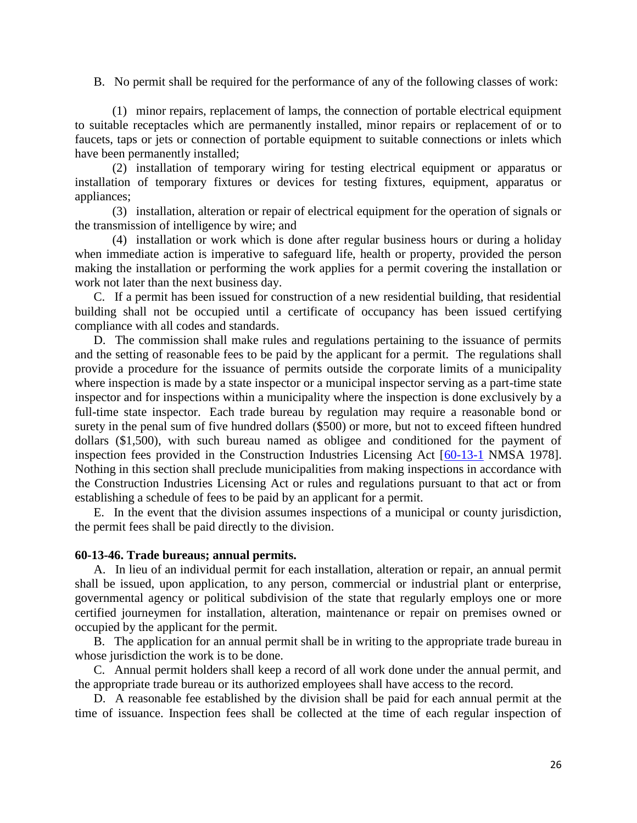B. No permit shall be required for the performance of any of the following classes of work:

(1) minor repairs, replacement of lamps, the connection of portable electrical equipment to suitable receptacles which are permanently installed, minor repairs or replacement of or to faucets, taps or jets or connection of portable equipment to suitable connections or inlets which have been permanently installed;

(2) installation of temporary wiring for testing electrical equipment or apparatus or installation of temporary fixtures or devices for testing fixtures, equipment, apparatus or appliances;

(3) installation, alteration or repair of electrical equipment for the operation of signals or the transmission of intelligence by wire; and

(4) installation or work which is done after regular business hours or during a holiday when immediate action is imperative to safeguard life, health or property, provided the person making the installation or performing the work applies for a permit covering the installation or work not later than the next business day.

C. If a permit has been issued for construction of a new residential building, that residential building shall not be occupied until a certificate of occupancy has been issued certifying compliance with all codes and standards.

D. The commission shall make rules and regulations pertaining to the issuance of permits and the setting of reasonable fees to be paid by the applicant for a permit. The regulations shall provide a procedure for the issuance of permits outside the corporate limits of a municipality where inspection is made by a state inspector or a municipal inspector serving as a part-time state inspector and for inspections within a municipality where the inspection is done exclusively by a full-time state inspector. Each trade bureau by regulation may require a reasonable bond or surety in the penal sum of five hundred dollars (\$500) or more, but not to exceed fifteen hundred dollars (\$1,500), with such bureau named as obligee and conditioned for the payment of inspection fees provided in the Construction Industries Licensing Act [\[60-13-1](http://www.nmonesource.com/nmpublic/gateway.dll?f=jumplink$jumplink_x=Advanced$jumplink_vpc=first$jumplink_xsl=querylink.xsl$jumplink_sel=title;path;content-type;home-title;item-bookmark$jumplink_d=%7bnmsu%7d$jumplink_q=%5bfield%20folio-destination-name:) NMSA 1978]. Nothing in this section shall preclude municipalities from making inspections in accordance with the Construction Industries Licensing Act or rules and regulations pursuant to that act or from establishing a schedule of fees to be paid by an applicant for a permit.

E. In the event that the division assumes inspections of a municipal or county jurisdiction, the permit fees shall be paid directly to the division.

### **60-13-46. Trade bureaus; annual permits.**

A. In lieu of an individual permit for each installation, alteration or repair, an annual permit shall be issued, upon application, to any person, commercial or industrial plant or enterprise, governmental agency or political subdivision of the state that regularly employs one or more certified journeymen for installation, alteration, maintenance or repair on premises owned or occupied by the applicant for the permit.

B. The application for an annual permit shall be in writing to the appropriate trade bureau in whose jurisdiction the work is to be done.

C. Annual permit holders shall keep a record of all work done under the annual permit, and the appropriate trade bureau or its authorized employees shall have access to the record.

D. A reasonable fee established by the division shall be paid for each annual permit at the time of issuance. Inspection fees shall be collected at the time of each regular inspection of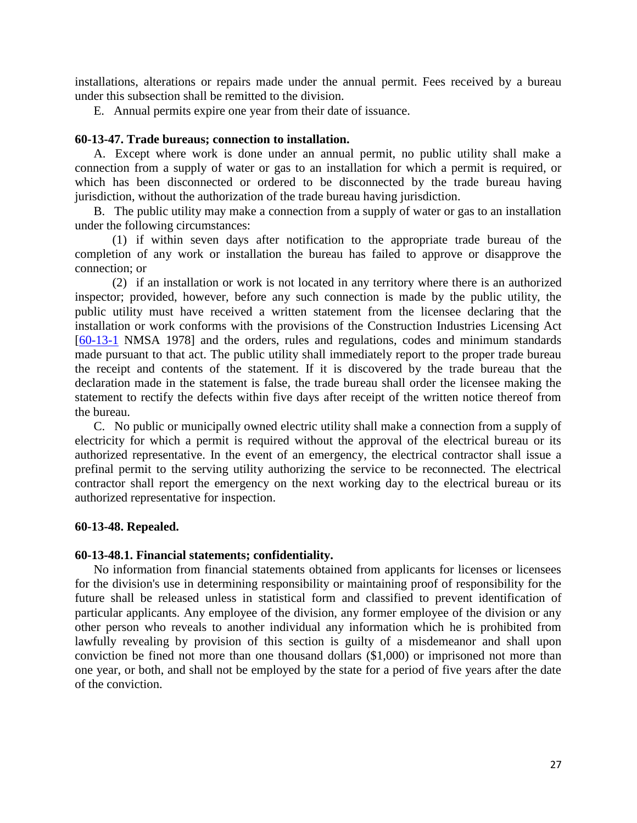installations, alterations or repairs made under the annual permit. Fees received by a bureau under this subsection shall be remitted to the division.

E. Annual permits expire one year from their date of issuance.

### **60-13-47. Trade bureaus; connection to installation.**

A. Except where work is done under an annual permit, no public utility shall make a connection from a supply of water or gas to an installation for which a permit is required, or which has been disconnected or ordered to be disconnected by the trade bureau having jurisdiction, without the authorization of the trade bureau having jurisdiction.

B. The public utility may make a connection from a supply of water or gas to an installation under the following circumstances:

(1) if within seven days after notification to the appropriate trade bureau of the completion of any work or installation the bureau has failed to approve or disapprove the connection; or

(2) if an installation or work is not located in any territory where there is an authorized inspector; provided, however, before any such connection is made by the public utility, the public utility must have received a written statement from the licensee declaring that the installation or work conforms with the provisions of the Construction Industries Licensing Act [\[60-13-1](http://www.nmonesource.com/nmpublic/gateway.dll?f=jumplink$jumplink_x=Advanced$jumplink_vpc=first$jumplink_xsl=querylink.xsl$jumplink_sel=title;path;content-type;home-title;item-bookmark$jumplink_d=%7bnmsu%7d$jumplink_q=%5bfield%20folio-destination-name:) NMSA 1978] and the orders, rules and regulations, codes and minimum standards made pursuant to that act. The public utility shall immediately report to the proper trade bureau the receipt and contents of the statement. If it is discovered by the trade bureau that the declaration made in the statement is false, the trade bureau shall order the licensee making the statement to rectify the defects within five days after receipt of the written notice thereof from the bureau.

C. No public or municipally owned electric utility shall make a connection from a supply of electricity for which a permit is required without the approval of the electrical bureau or its authorized representative. In the event of an emergency, the electrical contractor shall issue a prefinal permit to the serving utility authorizing the service to be reconnected. The electrical contractor shall report the emergency on the next working day to the electrical bureau or its authorized representative for inspection.

### **60-13-48. Repealed.**

#### **60-13-48.1. Financial statements; confidentiality.**

No information from financial statements obtained from applicants for licenses or licensees for the division's use in determining responsibility or maintaining proof of responsibility for the future shall be released unless in statistical form and classified to prevent identification of particular applicants. Any employee of the division, any former employee of the division or any other person who reveals to another individual any information which he is prohibited from lawfully revealing by provision of this section is guilty of a misdemeanor and shall upon conviction be fined not more than one thousand dollars (\$1,000) or imprisoned not more than one year, or both, and shall not be employed by the state for a period of five years after the date of the conviction.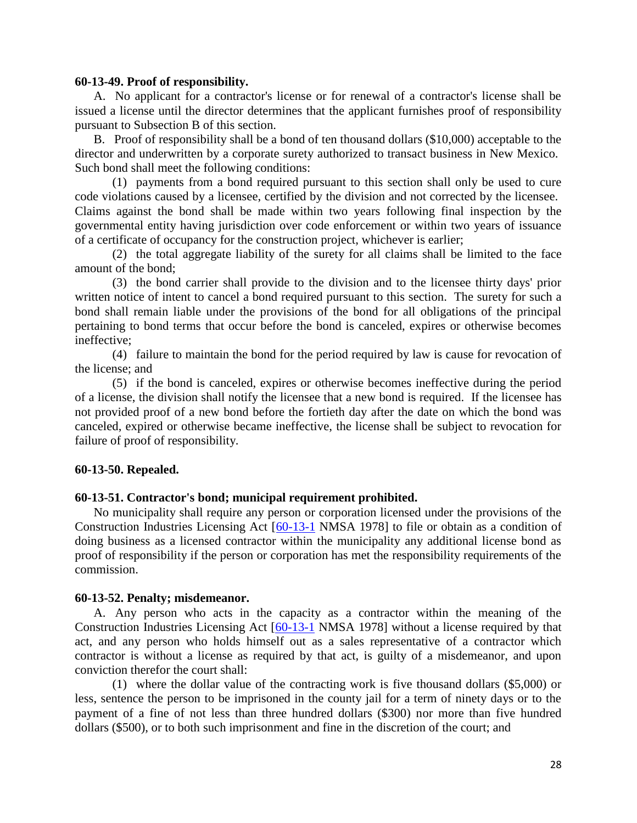#### **60-13-49. Proof of responsibility.**

A. No applicant for a contractor's license or for renewal of a contractor's license shall be issued a license until the director determines that the applicant furnishes proof of responsibility pursuant to Subsection B of this section.

B. Proof of responsibility shall be a bond of ten thousand dollars (\$10,000) acceptable to the director and underwritten by a corporate surety authorized to transact business in New Mexico. Such bond shall meet the following conditions:

(1) payments from a bond required pursuant to this section shall only be used to cure code violations caused by a licensee, certified by the division and not corrected by the licensee. Claims against the bond shall be made within two years following final inspection by the governmental entity having jurisdiction over code enforcement or within two years of issuance of a certificate of occupancy for the construction project, whichever is earlier;

(2) the total aggregate liability of the surety for all claims shall be limited to the face amount of the bond;

(3) the bond carrier shall provide to the division and to the licensee thirty days' prior written notice of intent to cancel a bond required pursuant to this section. The surety for such a bond shall remain liable under the provisions of the bond for all obligations of the principal pertaining to bond terms that occur before the bond is canceled, expires or otherwise becomes ineffective;

(4) failure to maintain the bond for the period required by law is cause for revocation of the license; and

(5) if the bond is canceled, expires or otherwise becomes ineffective during the period of a license, the division shall notify the licensee that a new bond is required. If the licensee has not provided proof of a new bond before the fortieth day after the date on which the bond was canceled, expired or otherwise became ineffective, the license shall be subject to revocation for failure of proof of responsibility.

### **60-13-50. Repealed.**

### **60-13-51. Contractor's bond; municipal requirement prohibited.**

No municipality shall require any person or corporation licensed under the provisions of the Construction Industries Licensing Act [\[60-13-1](http://www.nmonesource.com/nmpublic/gateway.dll?f=jumplink$jumplink_x=Advanced$jumplink_vpc=first$jumplink_xsl=querylink.xsl$jumplink_sel=title;path;content-type;home-title;item-bookmark$jumplink_d=%7bnmsu%7d$jumplink_q=%5bfield%20folio-destination-name:) NMSA 1978] to file or obtain as a condition of doing business as a licensed contractor within the municipality any additional license bond as proof of responsibility if the person or corporation has met the responsibility requirements of the commission.

### **60-13-52. Penalty; misdemeanor.**

A. Any person who acts in the capacity as a contractor within the meaning of the Construction Industries Licensing Act [\[60-13-1](http://www.nmonesource.com/nmpublic/gateway.dll?f=jumplink$jumplink_x=Advanced$jumplink_vpc=first$jumplink_xsl=querylink.xsl$jumplink_sel=title;path;content-type;home-title;item-bookmark$jumplink_d=%7bnmsu%7d$jumplink_q=%5bfield%20folio-destination-name:) NMSA 1978] without a license required by that act, and any person who holds himself out as a sales representative of a contractor which contractor is without a license as required by that act, is guilty of a misdemeanor, and upon conviction therefor the court shall:

(1) where the dollar value of the contracting work is five thousand dollars (\$5,000) or less, sentence the person to be imprisoned in the county jail for a term of ninety days or to the payment of a fine of not less than three hundred dollars (\$300) nor more than five hundred dollars (\$500), or to both such imprisonment and fine in the discretion of the court; and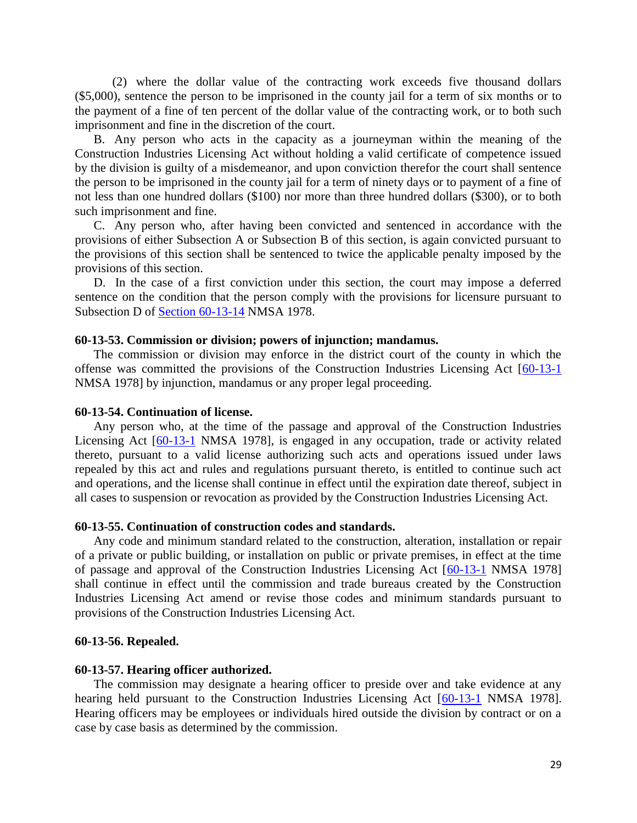(2) where the dollar value of the contracting work exceeds five thousand dollars (\$5,000), sentence the person to be imprisoned in the county jail for a term of six months or to the payment of a fine of ten percent of the dollar value of the contracting work, or to both such imprisonment and fine in the discretion of the court.

B. Any person who acts in the capacity as a journeyman within the meaning of the Construction Industries Licensing Act without holding a valid certificate of competence issued by the division is guilty of a misdemeanor, and upon conviction therefor the court shall sentence the person to be imprisoned in the county jail for a term of ninety days or to payment of a fine of not less than one hundred dollars (\$100) nor more than three hundred dollars (\$300), or to both such imprisonment and fine.

C. Any person who, after having been convicted and sentenced in accordance with the provisions of either Subsection A or Subsection B of this section, is again convicted pursuant to the provisions of this section shall be sentenced to twice the applicable penalty imposed by the provisions of this section.

D. In the case of a first conviction under this section, the court may impose a deferred sentence on the condition that the person comply with the provisions for licensure pursuant to Subsection D of [Section 60-13-14](http://www.nmonesource.com/nmpublic/gateway.dll?f=jumplink$jumplink_x=Advanced$jumplink_vpc=first$jumplink_xsl=querylink.xsl$jumplink_sel=title;path;content-type;home-title;item-bookmark$jumplink_d=%7bnmsu%7d$jumplink_q=%5bfield%20folio-destination-name:) NMSA 1978.

#### **60-13-53. Commission or division; powers of injunction; mandamus.**

The commission or division may enforce in the district court of the county in which the offense was committed the provisions of the Construction Industries Licensing Act [\[60-13-1](http://www.nmonesource.com/nmpublic/gateway.dll?f=jumplink$jumplink_x=Advanced$jumplink_vpc=first$jumplink_xsl=querylink.xsl$jumplink_sel=title;path;content-type;home-title;item-bookmark$jumplink_d=%7bnmsu%7d$jumplink_q=%5bfield%20folio-destination-name:) NMSA 1978] by injunction, mandamus or any proper legal proceeding.

#### **60-13-54. Continuation of license.**

Any person who, at the time of the passage and approval of the Construction Industries Licensing Act [\[60-13-1](http://www.nmonesource.com/nmpublic/gateway.dll?f=jumplink$jumplink_x=Advanced$jumplink_vpc=first$jumplink_xsl=querylink.xsl$jumplink_sel=title;path;content-type;home-title;item-bookmark$jumplink_d=%7bnmsu%7d$jumplink_q=%5bfield%20folio-destination-name:) NMSA 1978], is engaged in any occupation, trade or activity related thereto, pursuant to a valid license authorizing such acts and operations issued under laws repealed by this act and rules and regulations pursuant thereto, is entitled to continue such act and operations, and the license shall continue in effect until the expiration date thereof, subject in all cases to suspension or revocation as provided by the Construction Industries Licensing Act.

#### **60-13-55. Continuation of construction codes and standards.**

Any code and minimum standard related to the construction, alteration, installation or repair of a private or public building, or installation on public or private premises, in effect at the time of passage and approval of the Construction Industries Licensing Act [\[60-13-1](http://www.nmonesource.com/nmpublic/gateway.dll?f=jumplink$jumplink_x=Advanced$jumplink_vpc=first$jumplink_xsl=querylink.xsl$jumplink_sel=title;path;content-type;home-title;item-bookmark$jumplink_d=%7bnmsu%7d$jumplink_q=%5bfield%20folio-destination-name:) NMSA 1978] shall continue in effect until the commission and trade bureaus created by the Construction Industries Licensing Act amend or revise those codes and minimum standards pursuant to provisions of the Construction Industries Licensing Act.

#### **60-13-56. Repealed.**

#### **60-13-57. Hearing officer authorized.**

The commission may designate a hearing officer to preside over and take evidence at any hearing held pursuant to the Construction Industries Licensing Act [\[60-13-1](http://www.nmonesource.com/nmpublic/gateway.dll?f=jumplink$jumplink_x=Advanced$jumplink_vpc=first$jumplink_xsl=querylink.xsl$jumplink_sel=title;path;content-type;home-title;item-bookmark$jumplink_d=%7bnmsu%7d$jumplink_q=%5bfield%20folio-destination-name:) NMSA 1978]. Hearing officers may be employees or individuals hired outside the division by contract or on a case by case basis as determined by the commission.